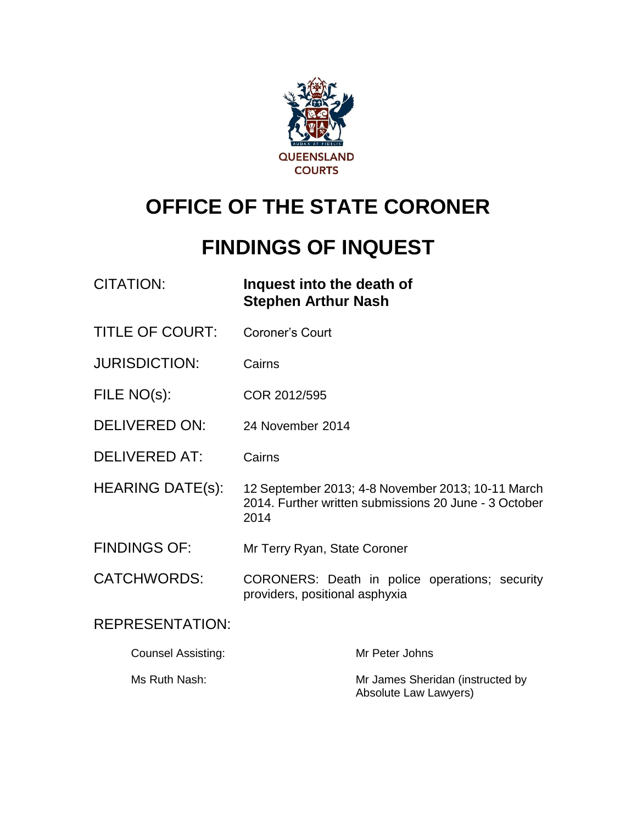

# **OFFICE OF THE STATE CORONER**

# **FINDINGS OF INQUEST**

| CITATION: | Inquest into the death of  |
|-----------|----------------------------|
|           | <b>Stephen Arthur Nash</b> |

- TITLE OF COURT: Coroner's Court
- JURISDICTION: Cairns
- FILE NO(s): COR 2012/595
- DELIVERED ON: 24 November 2014
- DELIVERED AT: Cairns
- HEARING DATE(s): 12 September 2013; 4-8 November 2013; 10-11 March 2014. Further written submissions 20 June - 3 October 2014
- FINDINGS OF: Mr Terry Ryan, State Coroner
- CATCHWORDS: CORONERS: Death in police operations; security providers, positional asphyxia

# REPRESENTATION:

| Counsel Assisting: | Mr Peter Johns                                            |
|--------------------|-----------------------------------------------------------|
| Ms Ruth Nash:      | Mr James Sheridan (instructed by<br>Absolute Law Lawyers) |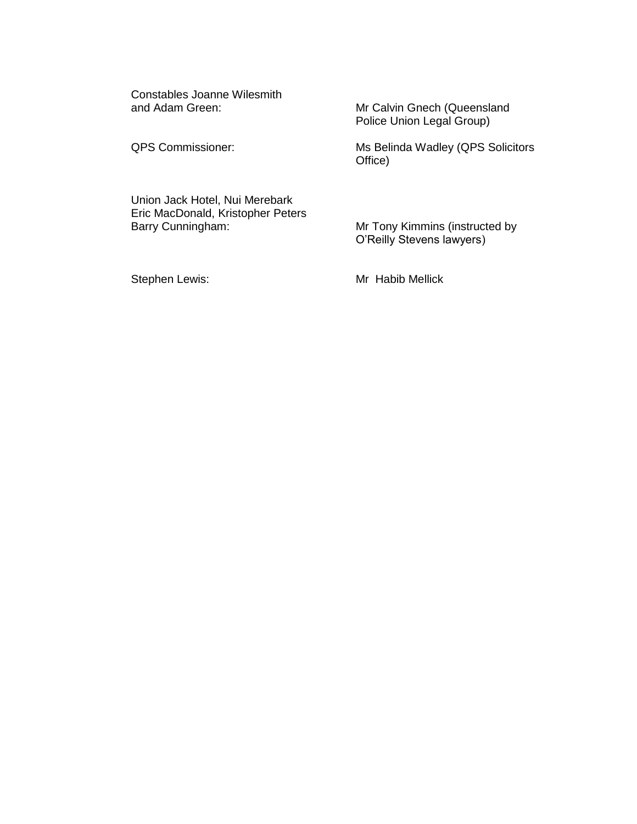Constables Joanne Wilesmith and Adam Green: Mr Calvin Gnech (Queensland

Police Union Legal Group)

QPS Commissioner: Ms Belinda Wadley (QPS Solicitors Office)

Union Jack Hotel, Nui Merebark Eric MacDonald, Kristopher Peters

Mr Tony Kimmins (instructed by O'Reilly Stevens lawyers)

Stephen Lewis: Mr Habib Mellick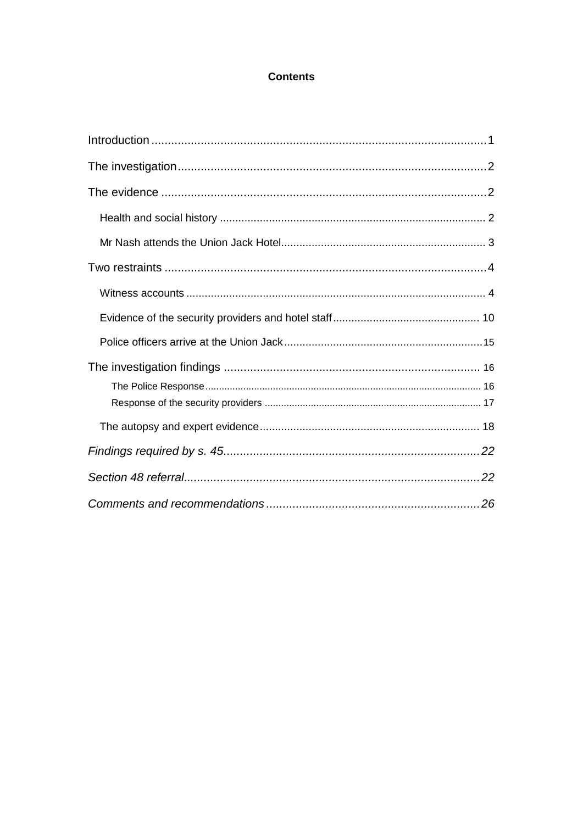## **Contents**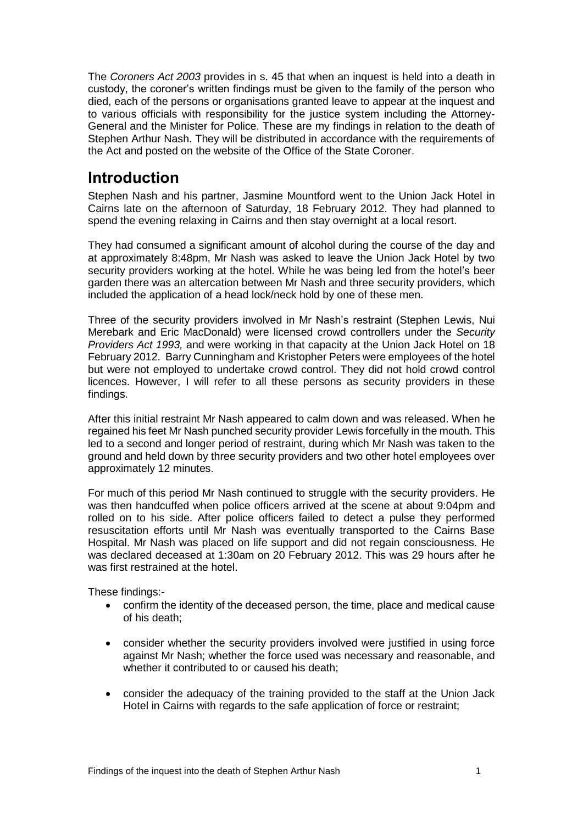The *Coroners Act 2003* provides in s. 45 that when an inquest is held into a death in custody, the coroner's written findings must be given to the family of the person who died, each of the persons or organisations granted leave to appear at the inquest and to various officials with responsibility for the justice system including the Attorney-General and the Minister for Police. These are my findings in relation to the death of Stephen Arthur Nash. They will be distributed in accordance with the requirements of the Act and posted on the website of the Office of the State Coroner.

# <span id="page-3-0"></span>**Introduction**

Stephen Nash and his partner, Jasmine Mountford went to the Union Jack Hotel in Cairns late on the afternoon of Saturday, 18 February 2012. They had planned to spend the evening relaxing in Cairns and then stay overnight at a local resort.

They had consumed a significant amount of alcohol during the course of the day and at approximately 8:48pm, Mr Nash was asked to leave the Union Jack Hotel by two security providers working at the hotel. While he was being led from the hotel's beer garden there was an altercation between Mr Nash and three security providers, which included the application of a head lock/neck hold by one of these men.

Three of the security providers involved in Mr Nash's restraint (Stephen Lewis, Nui Merebark and Eric MacDonald) were licensed crowd controllers under the *Security Providers Act 1993,* and were working in that capacity at the Union Jack Hotel on 18 February 2012. Barry Cunningham and Kristopher Peters were employees of the hotel but were not employed to undertake crowd control. They did not hold crowd control licences. However, I will refer to all these persons as security providers in these findings.

After this initial restraint Mr Nash appeared to calm down and was released. When he regained his feet Mr Nash punched security provider Lewis forcefully in the mouth. This led to a second and longer period of restraint, during which Mr Nash was taken to the ground and held down by three security providers and two other hotel employees over approximately 12 minutes.

For much of this period Mr Nash continued to struggle with the security providers. He was then handcuffed when police officers arrived at the scene at about 9:04pm and rolled on to his side. After police officers failed to detect a pulse they performed resuscitation efforts until Mr Nash was eventually transported to the Cairns Base Hospital. Mr Nash was placed on life support and did not regain consciousness. He was declared deceased at 1:30am on 20 February 2012. This was 29 hours after he was first restrained at the hotel

These findings:-

- confirm the identity of the deceased person, the time, place and medical cause of his death;
- consider whether the security providers involved were justified in using force against Mr Nash; whether the force used was necessary and reasonable, and whether it contributed to or caused his death;
- consider the adequacy of the training provided to the staff at the Union Jack Hotel in Cairns with regards to the safe application of force or restraint;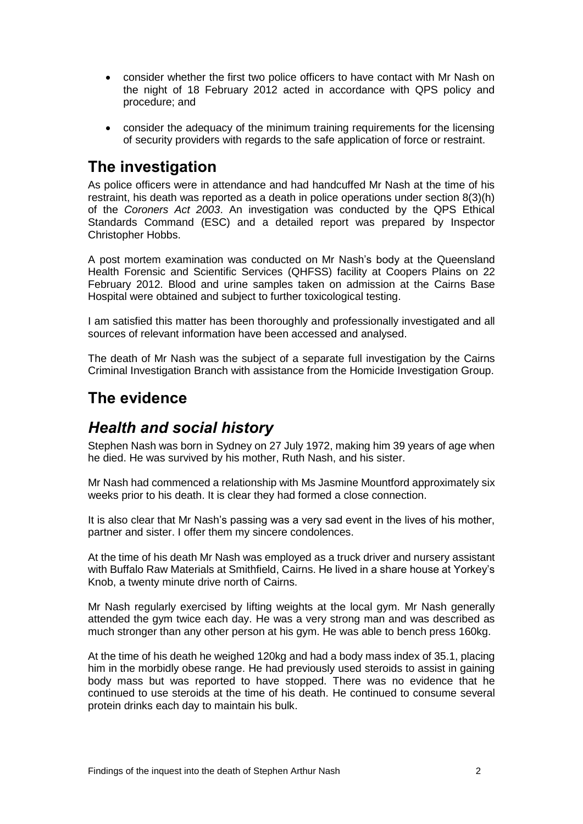- consider whether the first two police officers to have contact with Mr Nash on the night of 18 February 2012 acted in accordance with QPS policy and procedure; and
- consider the adequacy of the minimum training requirements for the licensing of security providers with regards to the safe application of force or restraint.

# <span id="page-4-0"></span>**The investigation**

As police officers were in attendance and had handcuffed Mr Nash at the time of his restraint, his death was reported as a death in police operations under section 8(3)(h) of the *Coroners Act 2003*. An investigation was conducted by the QPS Ethical Standards Command (ESC) and a detailed report was prepared by Inspector Christopher Hobbs.

A post mortem examination was conducted on Mr Nash's body at the Queensland Health Forensic and Scientific Services (QHFSS) facility at Coopers Plains on 22 February 2012. Blood and urine samples taken on admission at the Cairns Base Hospital were obtained and subject to further toxicological testing.

I am satisfied this matter has been thoroughly and professionally investigated and all sources of relevant information have been accessed and analysed.

The death of Mr Nash was the subject of a separate full investigation by the Cairns Criminal Investigation Branch with assistance from the Homicide Investigation Group.

# <span id="page-4-1"></span>**The evidence**

# <span id="page-4-2"></span>*Health and social history*

Stephen Nash was born in Sydney on 27 July 1972, making him 39 years of age when he died. He was survived by his mother, Ruth Nash, and his sister.

Mr Nash had commenced a relationship with Ms Jasmine Mountford approximately six weeks prior to his death. It is clear they had formed a close connection.

It is also clear that Mr Nash's passing was a very sad event in the lives of his mother, partner and sister. I offer them my sincere condolences.

At the time of his death Mr Nash was employed as a truck driver and nursery assistant with Buffalo Raw Materials at Smithfield, Cairns. He lived in a share house at Yorkey's Knob, a twenty minute drive north of Cairns.

Mr Nash regularly exercised by lifting weights at the local gym. Mr Nash generally attended the gym twice each day. He was a very strong man and was described as much stronger than any other person at his gym. He was able to bench press 160kg.

At the time of his death he weighed 120kg and had a body mass index of 35.1, placing him in the morbidly obese range. He had previously used steroids to assist in gaining body mass but was reported to have stopped. There was no evidence that he continued to use steroids at the time of his death. He continued to consume several protein drinks each day to maintain his bulk.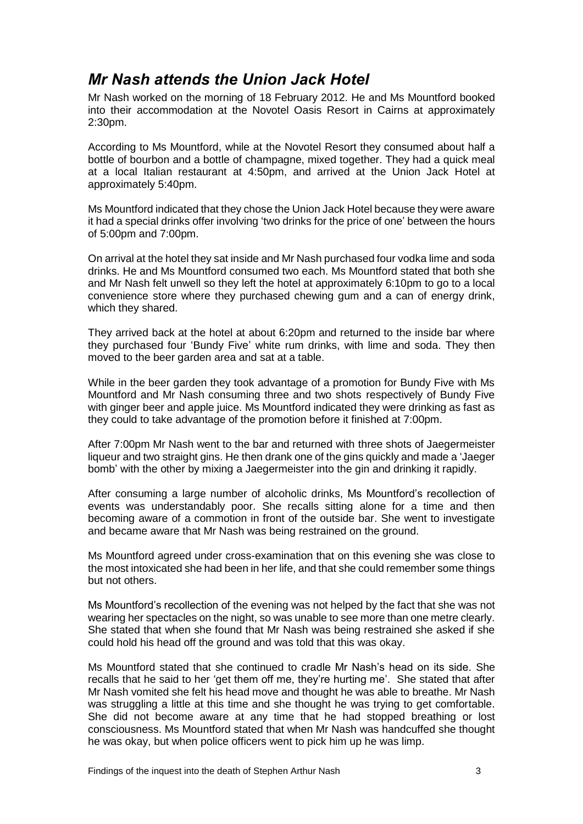# <span id="page-5-0"></span>*Mr Nash attends the Union Jack Hotel*

Mr Nash worked on the morning of 18 February 2012. He and Ms Mountford booked into their accommodation at the Novotel Oasis Resort in Cairns at approximately 2:30pm.

According to Ms Mountford, while at the Novotel Resort they consumed about half a bottle of bourbon and a bottle of champagne, mixed together. They had a quick meal at a local Italian restaurant at 4:50pm, and arrived at the Union Jack Hotel at approximately 5:40pm.

Ms Mountford indicated that they chose the Union Jack Hotel because they were aware it had a special drinks offer involving 'two drinks for the price of one' between the hours of 5:00pm and 7:00pm.

On arrival at the hotel they sat inside and Mr Nash purchased four vodka lime and soda drinks. He and Ms Mountford consumed two each. Ms Mountford stated that both she and Mr Nash felt unwell so they left the hotel at approximately 6:10pm to go to a local convenience store where they purchased chewing gum and a can of energy drink, which they shared.

They arrived back at the hotel at about 6:20pm and returned to the inside bar where they purchased four 'Bundy Five' white rum drinks, with lime and soda. They then moved to the beer garden area and sat at a table.

While in the beer garden they took advantage of a promotion for Bundy Five with Ms Mountford and Mr Nash consuming three and two shots respectively of Bundy Five with ginger beer and apple juice. Ms Mountford indicated they were drinking as fast as they could to take advantage of the promotion before it finished at 7:00pm.

After 7:00pm Mr Nash went to the bar and returned with three shots of Jaegermeister liqueur and two straight gins. He then drank one of the gins quickly and made a 'Jaeger bomb' with the other by mixing a Jaegermeister into the gin and drinking it rapidly.

After consuming a large number of alcoholic drinks, Ms Mountford's recollection of events was understandably poor. She recalls sitting alone for a time and then becoming aware of a commotion in front of the outside bar. She went to investigate and became aware that Mr Nash was being restrained on the ground.

Ms Mountford agreed under cross-examination that on this evening she was close to the most intoxicated she had been in her life, and that she could remember some things but not others.

Ms Mountford's recollection of the evening was not helped by the fact that she was not wearing her spectacles on the night, so was unable to see more than one metre clearly. She stated that when she found that Mr Nash was being restrained she asked if she could hold his head off the ground and was told that this was okay.

Ms Mountford stated that she continued to cradle Mr Nash's head on its side. She recalls that he said to her 'get them off me, they're hurting me'. She stated that after Mr Nash vomited she felt his head move and thought he was able to breathe. Mr Nash was struggling a little at this time and she thought he was trying to get comfortable. She did not become aware at any time that he had stopped breathing or lost consciousness. Ms Mountford stated that when Mr Nash was handcuffed she thought he was okay, but when police officers went to pick him up he was limp.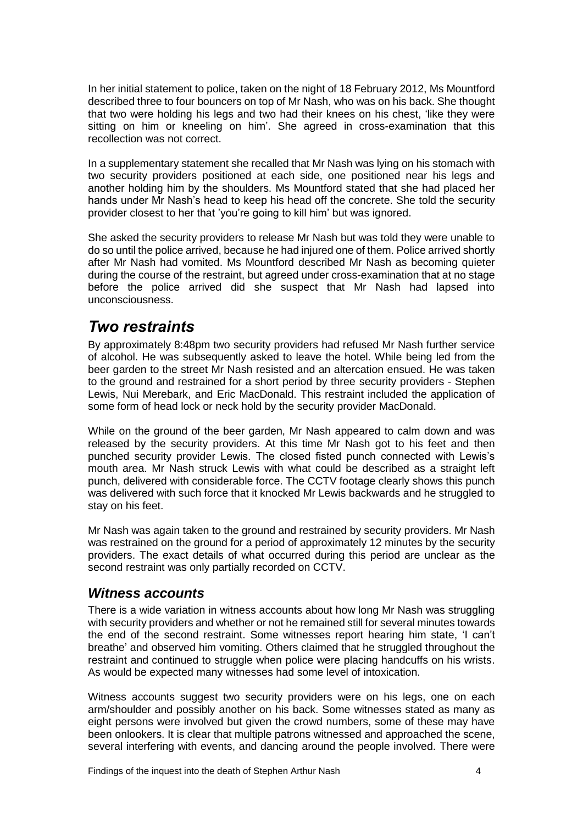In her initial statement to police, taken on the night of 18 February 2012, Ms Mountford described three to four bouncers on top of Mr Nash, who was on his back. She thought that two were holding his legs and two had their knees on his chest, 'like they were sitting on him or kneeling on him'. She agreed in cross-examination that this recollection was not correct.

In a supplementary statement she recalled that Mr Nash was lying on his stomach with two security providers positioned at each side, one positioned near his legs and another holding him by the shoulders. Ms Mountford stated that she had placed her hands under Mr Nash's head to keep his head off the concrete. She told the security provider closest to her that 'you're going to kill him' but was ignored.

She asked the security providers to release Mr Nash but was told they were unable to do so until the police arrived, because he had injured one of them. Police arrived shortly after Mr Nash had vomited. Ms Mountford described Mr Nash as becoming quieter during the course of the restraint, but agreed under cross-examination that at no stage before the police arrived did she suspect that Mr Nash had lapsed into unconsciousness.

# <span id="page-6-0"></span>*Two restraints*

By approximately 8:48pm two security providers had refused Mr Nash further service of alcohol. He was subsequently asked to leave the hotel. While being led from the beer garden to the street Mr Nash resisted and an altercation ensued. He was taken to the ground and restrained for a short period by three security providers - Stephen Lewis, Nui Merebark, and Eric MacDonald. This restraint included the application of some form of head lock or neck hold by the security provider MacDonald.

While on the ground of the beer garden, Mr Nash appeared to calm down and was released by the security providers. At this time Mr Nash got to his feet and then punched security provider Lewis. The closed fisted punch connected with Lewis's mouth area. Mr Nash struck Lewis with what could be described as a straight left punch, delivered with considerable force. The CCTV footage clearly shows this punch was delivered with such force that it knocked Mr Lewis backwards and he struggled to stay on his feet.

Mr Nash was again taken to the ground and restrained by security providers. Mr Nash was restrained on the ground for a period of approximately 12 minutes by the security providers. The exact details of what occurred during this period are unclear as the second restraint was only partially recorded on CCTV.

# <span id="page-6-1"></span>*Witness accounts*

There is a wide variation in witness accounts about how long Mr Nash was struggling with security providers and whether or not he remained still for several minutes towards the end of the second restraint. Some witnesses report hearing him state, 'I can't breathe' and observed him vomiting. Others claimed that he struggled throughout the restraint and continued to struggle when police were placing handcuffs on his wrists. As would be expected many witnesses had some level of intoxication.

Witness accounts suggest two security providers were on his legs, one on each arm/shoulder and possibly another on his back. Some witnesses stated as many as eight persons were involved but given the crowd numbers, some of these may have been onlookers. It is clear that multiple patrons witnessed and approached the scene, several interfering with events, and dancing around the people involved. There were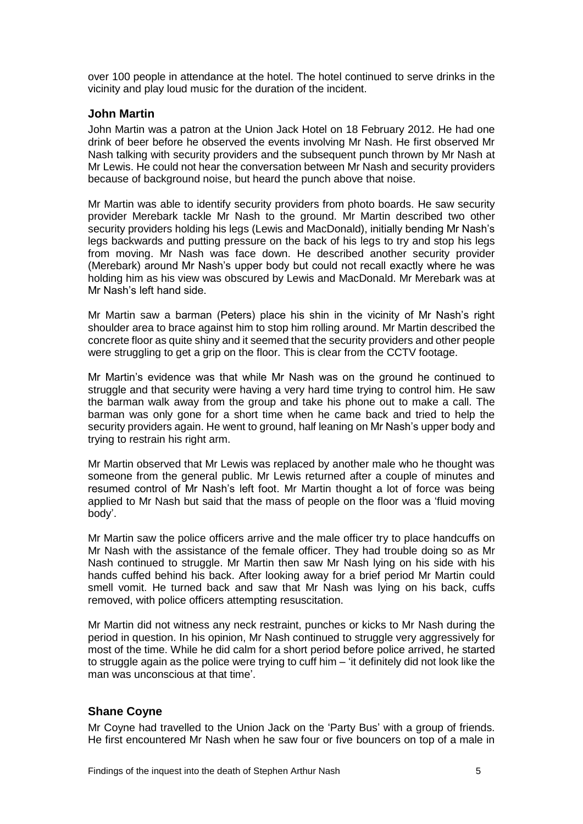over 100 people in attendance at the hotel. The hotel continued to serve drinks in the vicinity and play loud music for the duration of the incident.

#### **John Martin**

John Martin was a patron at the Union Jack Hotel on 18 February 2012. He had one drink of beer before he observed the events involving Mr Nash. He first observed Mr Nash talking with security providers and the subsequent punch thrown by Mr Nash at Mr Lewis. He could not hear the conversation between Mr Nash and security providers because of background noise, but heard the punch above that noise.

Mr Martin was able to identify security providers from photo boards. He saw security provider Merebark tackle Mr Nash to the ground. Mr Martin described two other security providers holding his legs (Lewis and MacDonald), initially bending Mr Nash's legs backwards and putting pressure on the back of his legs to try and stop his legs from moving. Mr Nash was face down. He described another security provider (Merebark) around Mr Nash's upper body but could not recall exactly where he was holding him as his view was obscured by Lewis and MacDonald. Mr Merebark was at Mr Nash's left hand side.

Mr Martin saw a barman (Peters) place his shin in the vicinity of Mr Nash's right shoulder area to brace against him to stop him rolling around. Mr Martin described the concrete floor as quite shiny and it seemed that the security providers and other people were struggling to get a grip on the floor. This is clear from the CCTV footage.

Mr Martin's evidence was that while Mr Nash was on the ground he continued to struggle and that security were having a very hard time trying to control him. He saw the barman walk away from the group and take his phone out to make a call. The barman was only gone for a short time when he came back and tried to help the security providers again. He went to ground, half leaning on Mr Nash's upper body and trying to restrain his right arm.

Mr Martin observed that Mr Lewis was replaced by another male who he thought was someone from the general public. Mr Lewis returned after a couple of minutes and resumed control of Mr Nash's left foot. Mr Martin thought a lot of force was being applied to Mr Nash but said that the mass of people on the floor was a 'fluid moving body'.

Mr Martin saw the police officers arrive and the male officer try to place handcuffs on Mr Nash with the assistance of the female officer. They had trouble doing so as Mr Nash continued to struggle. Mr Martin then saw Mr Nash lying on his side with his hands cuffed behind his back. After looking away for a brief period Mr Martin could smell vomit. He turned back and saw that Mr Nash was lying on his back, cuffs removed, with police officers attempting resuscitation.

Mr Martin did not witness any neck restraint, punches or kicks to Mr Nash during the period in question. In his opinion, Mr Nash continued to struggle very aggressively for most of the time. While he did calm for a short period before police arrived, he started to struggle again as the police were trying to cuff him – 'it definitely did not look like the man was unconscious at that time'.

### **Shane Coyne**

Mr Coyne had travelled to the Union Jack on the 'Party Bus' with a group of friends. He first encountered Mr Nash when he saw four or five bouncers on top of a male in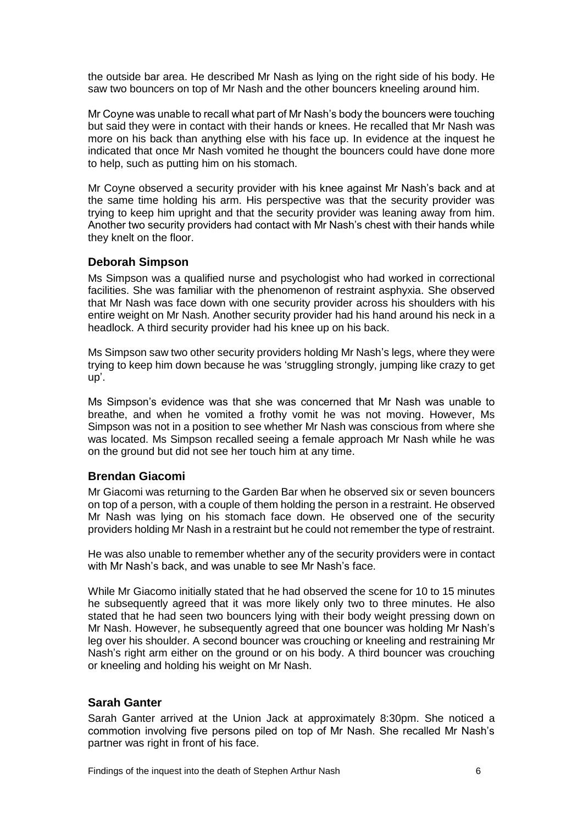the outside bar area. He described Mr Nash as lying on the right side of his body. He saw two bouncers on top of Mr Nash and the other bouncers kneeling around him.

Mr Coyne was unable to recall what part of Mr Nash's body the bouncers were touching but said they were in contact with their hands or knees. He recalled that Mr Nash was more on his back than anything else with his face up. In evidence at the inquest he indicated that once Mr Nash vomited he thought the bouncers could have done more to help, such as putting him on his stomach.

Mr Coyne observed a security provider with his knee against Mr Nash's back and at the same time holding his arm. His perspective was that the security provider was trying to keep him upright and that the security provider was leaning away from him. Another two security providers had contact with Mr Nash's chest with their hands while they knelt on the floor.

### **Deborah Simpson**

Ms Simpson was a qualified nurse and psychologist who had worked in correctional facilities. She was familiar with the phenomenon of restraint asphyxia. She observed that Mr Nash was face down with one security provider across his shoulders with his entire weight on Mr Nash. Another security provider had his hand around his neck in a headlock. A third security provider had his knee up on his back.

Ms Simpson saw two other security providers holding Mr Nash's legs, where they were trying to keep him down because he was 'struggling strongly, jumping like crazy to get up'.

Ms Simpson's evidence was that she was concerned that Mr Nash was unable to breathe, and when he vomited a frothy vomit he was not moving. However, Ms Simpson was not in a position to see whether Mr Nash was conscious from where she was located. Ms Simpson recalled seeing a female approach Mr Nash while he was on the ground but did not see her touch him at any time.

### **Brendan Giacomi**

Mr Giacomi was returning to the Garden Bar when he observed six or seven bouncers on top of a person, with a couple of them holding the person in a restraint. He observed Mr Nash was lying on his stomach face down. He observed one of the security providers holding Mr Nash in a restraint but he could not remember the type of restraint.

He was also unable to remember whether any of the security providers were in contact with Mr Nash's back, and was unable to see Mr Nash's face.

While Mr Giacomo initially stated that he had observed the scene for 10 to 15 minutes he subsequently agreed that it was more likely only two to three minutes. He also stated that he had seen two bouncers lying with their body weight pressing down on Mr Nash. However, he subsequently agreed that one bouncer was holding Mr Nash's leg over his shoulder. A second bouncer was crouching or kneeling and restraining Mr Nash's right arm either on the ground or on his body. A third bouncer was crouching or kneeling and holding his weight on Mr Nash.

### **Sarah Ganter**

Sarah Ganter arrived at the Union Jack at approximately 8:30pm. She noticed a commotion involving five persons piled on top of Mr Nash. She recalled Mr Nash's partner was right in front of his face.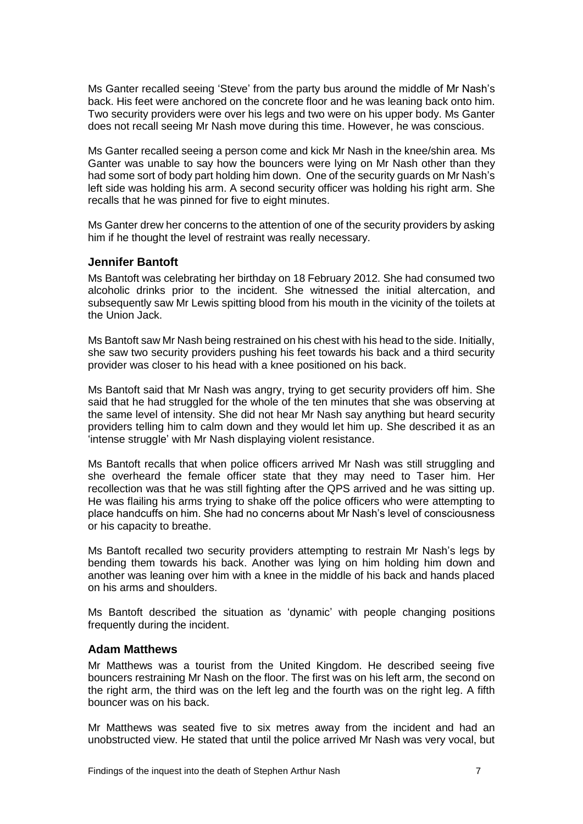Ms Ganter recalled seeing 'Steve' from the party bus around the middle of Mr Nash's back. His feet were anchored on the concrete floor and he was leaning back onto him. Two security providers were over his legs and two were on his upper body. Ms Ganter does not recall seeing Mr Nash move during this time. However, he was conscious.

Ms Ganter recalled seeing a person come and kick Mr Nash in the knee/shin area. Ms Ganter was unable to say how the bouncers were lying on Mr Nash other than they had some sort of body part holding him down. One of the security guards on Mr Nash's left side was holding his arm. A second security officer was holding his right arm. She recalls that he was pinned for five to eight minutes.

Ms Ganter drew her concerns to the attention of one of the security providers by asking him if he thought the level of restraint was really necessary.

#### **Jennifer Bantoft**

Ms Bantoft was celebrating her birthday on 18 February 2012. She had consumed two alcoholic drinks prior to the incident. She witnessed the initial altercation, and subsequently saw Mr Lewis spitting blood from his mouth in the vicinity of the toilets at the Union Jack.

Ms Bantoft saw Mr Nash being restrained on his chest with his head to the side. Initially, she saw two security providers pushing his feet towards his back and a third security provider was closer to his head with a knee positioned on his back.

Ms Bantoft said that Mr Nash was angry, trying to get security providers off him. She said that he had struggled for the whole of the ten minutes that she was observing at the same level of intensity. She did not hear Mr Nash say anything but heard security providers telling him to calm down and they would let him up. She described it as an 'intense struggle' with Mr Nash displaying violent resistance.

Ms Bantoft recalls that when police officers arrived Mr Nash was still struggling and she overheard the female officer state that they may need to Taser him. Her recollection was that he was still fighting after the QPS arrived and he was sitting up. He was flailing his arms trying to shake off the police officers who were attempting to place handcuffs on him. She had no concerns about Mr Nash's level of consciousness or his capacity to breathe.

Ms Bantoft recalled two security providers attempting to restrain Mr Nash's legs by bending them towards his back. Another was lying on him holding him down and another was leaning over him with a knee in the middle of his back and hands placed on his arms and shoulders.

Ms Bantoft described the situation as 'dynamic' with people changing positions frequently during the incident.

#### **Adam Matthews**

Mr Matthews was a tourist from the United Kingdom. He described seeing five bouncers restraining Mr Nash on the floor. The first was on his left arm, the second on the right arm, the third was on the left leg and the fourth was on the right leg. A fifth bouncer was on his back.

Mr Matthews was seated five to six metres away from the incident and had an unobstructed view. He stated that until the police arrived Mr Nash was very vocal, but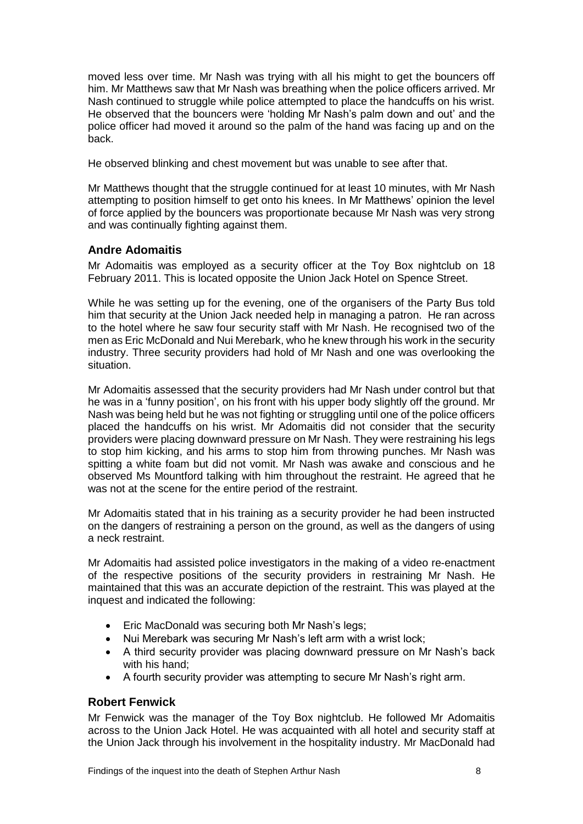moved less over time. Mr Nash was trying with all his might to get the bouncers off him. Mr Matthews saw that Mr Nash was breathing when the police officers arrived. Mr Nash continued to struggle while police attempted to place the handcuffs on his wrist. He observed that the bouncers were 'holding Mr Nash's palm down and out' and the police officer had moved it around so the palm of the hand was facing up and on the back.

He observed blinking and chest movement but was unable to see after that.

Mr Matthews thought that the struggle continued for at least 10 minutes, with Mr Nash attempting to position himself to get onto his knees. In Mr Matthews' opinion the level of force applied by the bouncers was proportionate because Mr Nash was very strong and was continually fighting against them.

## **Andre Adomaitis**

Mr Adomaitis was employed as a security officer at the Toy Box nightclub on 18 February 2011. This is located opposite the Union Jack Hotel on Spence Street.

While he was setting up for the evening, one of the organisers of the Party Bus told him that security at the Union Jack needed help in managing a patron. He ran across to the hotel where he saw four security staff with Mr Nash. He recognised two of the men as Eric McDonald and Nui Merebark, who he knew through his work in the security industry. Three security providers had hold of Mr Nash and one was overlooking the situation.

Mr Adomaitis assessed that the security providers had Mr Nash under control but that he was in a 'funny position', on his front with his upper body slightly off the ground. Mr Nash was being held but he was not fighting or struggling until one of the police officers placed the handcuffs on his wrist. Mr Adomaitis did not consider that the security providers were placing downward pressure on Mr Nash. They were restraining his legs to stop him kicking, and his arms to stop him from throwing punches. Mr Nash was spitting a white foam but did not vomit. Mr Nash was awake and conscious and he observed Ms Mountford talking with him throughout the restraint. He agreed that he was not at the scene for the entire period of the restraint.

Mr Adomaitis stated that in his training as a security provider he had been instructed on the dangers of restraining a person on the ground, as well as the dangers of using a neck restraint.

Mr Adomaitis had assisted police investigators in the making of a video re-enactment of the respective positions of the security providers in restraining Mr Nash. He maintained that this was an accurate depiction of the restraint. This was played at the inquest and indicated the following:

- Eric MacDonald was securing both Mr Nash's legs;
- Nui Merebark was securing Mr Nash's left arm with a wrist lock;
- A third security provider was placing downward pressure on Mr Nash's back with his hand:
- A fourth security provider was attempting to secure Mr Nash's right arm.

### **Robert Fenwick**

Mr Fenwick was the manager of the Toy Box nightclub. He followed Mr Adomaitis across to the Union Jack Hotel. He was acquainted with all hotel and security staff at the Union Jack through his involvement in the hospitality industry. Mr MacDonald had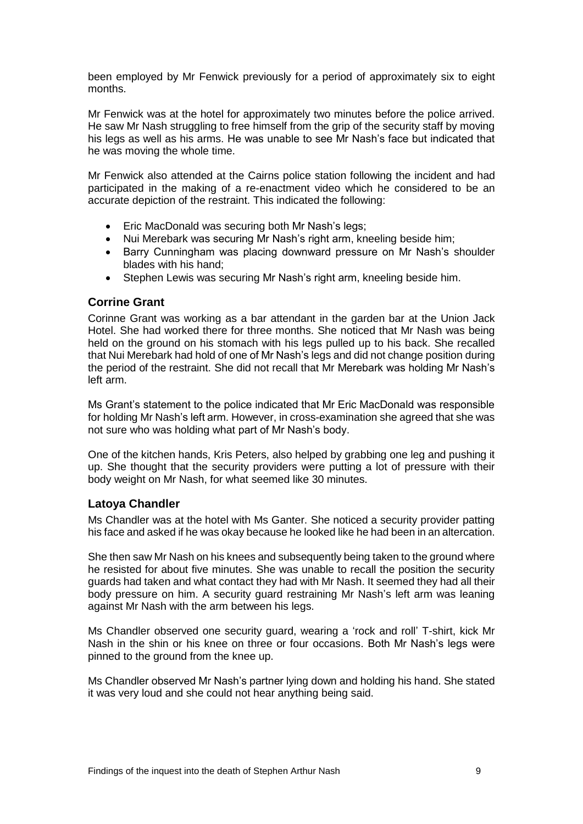been employed by Mr Fenwick previously for a period of approximately six to eight months.

Mr Fenwick was at the hotel for approximately two minutes before the police arrived. He saw Mr Nash struggling to free himself from the grip of the security staff by moving his legs as well as his arms. He was unable to see Mr Nash's face but indicated that he was moving the whole time.

Mr Fenwick also attended at the Cairns police station following the incident and had participated in the making of a re-enactment video which he considered to be an accurate depiction of the restraint. This indicated the following:

- Eric MacDonald was securing both Mr Nash's legs;
- Nui Merebark was securing Mr Nash's right arm, kneeling beside him;
- Barry Cunningham was placing downward pressure on Mr Nash's shoulder blades with his hand;
- Stephen Lewis was securing Mr Nash's right arm, kneeling beside him.

#### **Corrine Grant**

Corinne Grant was working as a bar attendant in the garden bar at the Union Jack Hotel. She had worked there for three months. She noticed that Mr Nash was being held on the ground on his stomach with his legs pulled up to his back. She recalled that Nui Merebark had hold of one of Mr Nash's legs and did not change position during the period of the restraint. She did not recall that Mr Merebark was holding Mr Nash's left arm.

Ms Grant's statement to the police indicated that Mr Eric MacDonald was responsible for holding Mr Nash's left arm. However, in cross-examination she agreed that she was not sure who was holding what part of Mr Nash's body.

One of the kitchen hands, Kris Peters, also helped by grabbing one leg and pushing it up. She thought that the security providers were putting a lot of pressure with their body weight on Mr Nash, for what seemed like 30 minutes.

### **Latoya Chandler**

Ms Chandler was at the hotel with Ms Ganter. She noticed a security provider patting his face and asked if he was okay because he looked like he had been in an altercation.

She then saw Mr Nash on his knees and subsequently being taken to the ground where he resisted for about five minutes. She was unable to recall the position the security guards had taken and what contact they had with Mr Nash. It seemed they had all their body pressure on him. A security guard restraining Mr Nash's left arm was leaning against Mr Nash with the arm between his legs.

Ms Chandler observed one security guard, wearing a 'rock and roll' T-shirt, kick Mr Nash in the shin or his knee on three or four occasions. Both Mr Nash's legs were pinned to the ground from the knee up.

Ms Chandler observed Mr Nash's partner lying down and holding his hand. She stated it was very loud and she could not hear anything being said.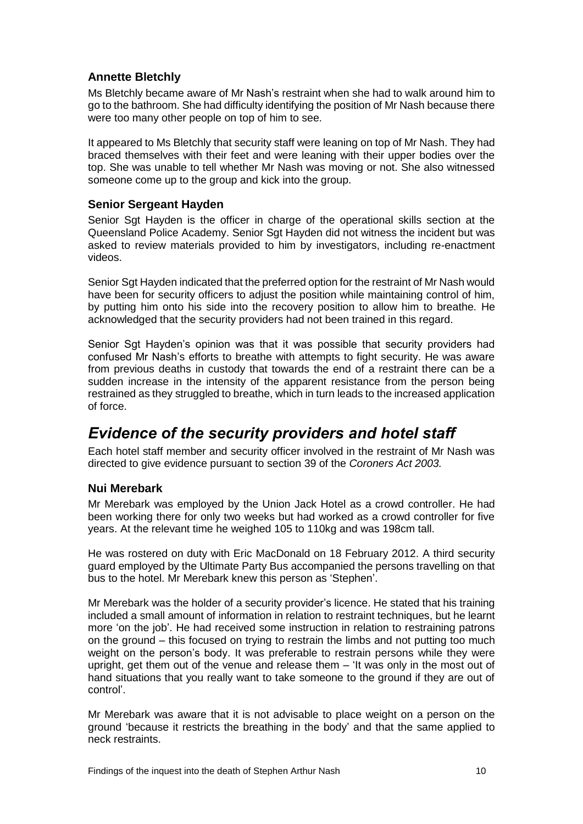# **Annette Bletchly**

Ms Bletchly became aware of Mr Nash's restraint when she had to walk around him to go to the bathroom. She had difficulty identifying the position of Mr Nash because there were too many other people on top of him to see.

It appeared to Ms Bletchly that security staff were leaning on top of Mr Nash. They had braced themselves with their feet and were leaning with their upper bodies over the top. She was unable to tell whether Mr Nash was moving or not. She also witnessed someone come up to the group and kick into the group.

## **Senior Sergeant Hayden**

Senior Sat Hayden is the officer in charge of the operational skills section at the Queensland Police Academy. Senior Sgt Hayden did not witness the incident but was asked to review materials provided to him by investigators, including re-enactment videos.

Senior Sgt Hayden indicated that the preferred option for the restraint of Mr Nash would have been for security officers to adjust the position while maintaining control of him, by putting him onto his side into the recovery position to allow him to breathe. He acknowledged that the security providers had not been trained in this regard.

Senior Sgt Hayden's opinion was that it was possible that security providers had confused Mr Nash's efforts to breathe with attempts to fight security. He was aware from previous deaths in custody that towards the end of a restraint there can be a sudden increase in the intensity of the apparent resistance from the person being restrained as they struggled to breathe, which in turn leads to the increased application of force.

# <span id="page-12-0"></span>*Evidence of the security providers and hotel staff*

Each hotel staff member and security officer involved in the restraint of Mr Nash was directed to give evidence pursuant to section 39 of the *Coroners Act 2003.*

## **Nui Merebark**

Mr Merebark was employed by the Union Jack Hotel as a crowd controller. He had been working there for only two weeks but had worked as a crowd controller for five years. At the relevant time he weighed 105 to 110kg and was 198cm tall.

He was rostered on duty with Eric MacDonald on 18 February 2012. A third security guard employed by the Ultimate Party Bus accompanied the persons travelling on that bus to the hotel. Mr Merebark knew this person as 'Stephen'.

Mr Merebark was the holder of a security provider's licence. He stated that his training included a small amount of information in relation to restraint techniques, but he learnt more 'on the job'. He had received some instruction in relation to restraining patrons on the ground – this focused on trying to restrain the limbs and not putting too much weight on the person's body. It was preferable to restrain persons while they were upright, get them out of the venue and release them – 'It was only in the most out of hand situations that you really want to take someone to the ground if they are out of control'.

Mr Merebark was aware that it is not advisable to place weight on a person on the ground 'because it restricts the breathing in the body' and that the same applied to neck restraints.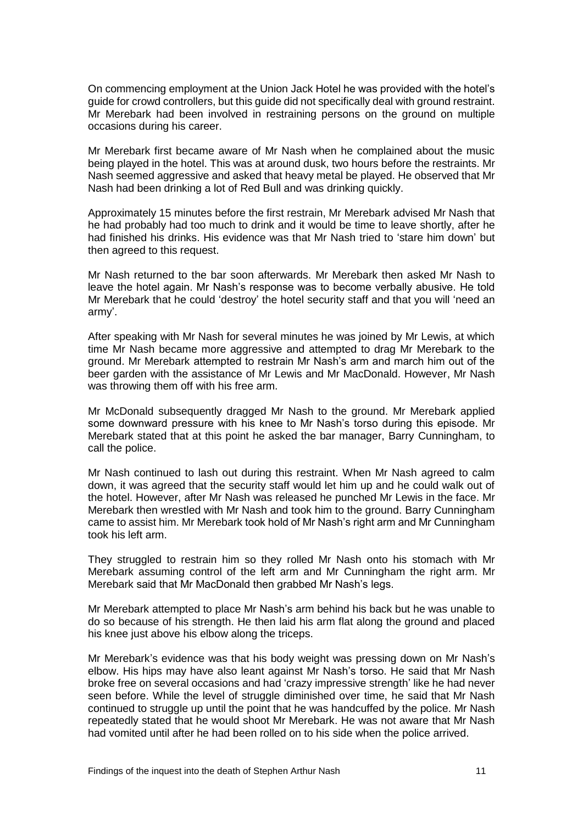On commencing employment at the Union Jack Hotel he was provided with the hotel's guide for crowd controllers, but this guide did not specifically deal with ground restraint. Mr Merebark had been involved in restraining persons on the ground on multiple occasions during his career.

Mr Merebark first became aware of Mr Nash when he complained about the music being played in the hotel. This was at around dusk, two hours before the restraints. Mr Nash seemed aggressive and asked that heavy metal be played. He observed that Mr Nash had been drinking a lot of Red Bull and was drinking quickly.

Approximately 15 minutes before the first restrain, Mr Merebark advised Mr Nash that he had probably had too much to drink and it would be time to leave shortly, after he had finished his drinks. His evidence was that Mr Nash tried to 'stare him down' but then agreed to this request.

Mr Nash returned to the bar soon afterwards. Mr Merebark then asked Mr Nash to leave the hotel again. Mr Nash's response was to become verbally abusive. He told Mr Merebark that he could 'destroy' the hotel security staff and that you will 'need an army'.

After speaking with Mr Nash for several minutes he was joined by Mr Lewis, at which time Mr Nash became more aggressive and attempted to drag Mr Merebark to the ground. Mr Merebark attempted to restrain Mr Nash's arm and march him out of the beer garden with the assistance of Mr Lewis and Mr MacDonald. However, Mr Nash was throwing them off with his free arm.

Mr McDonald subsequently dragged Mr Nash to the ground. Mr Merebark applied some downward pressure with his knee to Mr Nash's torso during this episode. Mr Merebark stated that at this point he asked the bar manager, Barry Cunningham, to call the police.

Mr Nash continued to lash out during this restraint. When Mr Nash agreed to calm down, it was agreed that the security staff would let him up and he could walk out of the hotel. However, after Mr Nash was released he punched Mr Lewis in the face. Mr Merebark then wrestled with Mr Nash and took him to the ground. Barry Cunningham came to assist him. Mr Merebark took hold of Mr Nash's right arm and Mr Cunningham took his left arm.

They struggled to restrain him so they rolled Mr Nash onto his stomach with Mr Merebark assuming control of the left arm and Mr Cunningham the right arm. Mr Merebark said that Mr MacDonald then grabbed Mr Nash's legs.

Mr Merebark attempted to place Mr Nash's arm behind his back but he was unable to do so because of his strength. He then laid his arm flat along the ground and placed his knee just above his elbow along the triceps.

Mr Merebark's evidence was that his body weight was pressing down on Mr Nash's elbow. His hips may have also leant against Mr Nash's torso. He said that Mr Nash broke free on several occasions and had 'crazy impressive strength' like he had never seen before. While the level of struggle diminished over time, he said that Mr Nash continued to struggle up until the point that he was handcuffed by the police. Mr Nash repeatedly stated that he would shoot Mr Merebark. He was not aware that Mr Nash had vomited until after he had been rolled on to his side when the police arrived.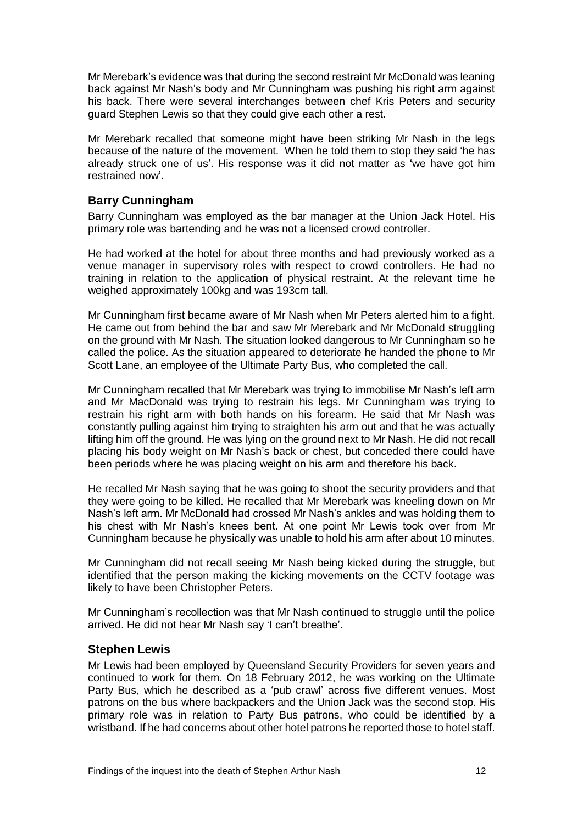Mr Merebark's evidence was that during the second restraint Mr McDonald was leaning back against Mr Nash's body and Mr Cunningham was pushing his right arm against his back. There were several interchanges between chef Kris Peters and security guard Stephen Lewis so that they could give each other a rest.

Mr Merebark recalled that someone might have been striking Mr Nash in the legs because of the nature of the movement. When he told them to stop they said 'he has already struck one of us'. His response was it did not matter as 'we have got him restrained now'.

## **Barry Cunningham**

Barry Cunningham was employed as the bar manager at the Union Jack Hotel. His primary role was bartending and he was not a licensed crowd controller.

He had worked at the hotel for about three months and had previously worked as a venue manager in supervisory roles with respect to crowd controllers. He had no training in relation to the application of physical restraint. At the relevant time he weighed approximately 100kg and was 193cm tall.

Mr Cunningham first became aware of Mr Nash when Mr Peters alerted him to a fight. He came out from behind the bar and saw Mr Merebark and Mr McDonald struggling on the ground with Mr Nash. The situation looked dangerous to Mr Cunningham so he called the police. As the situation appeared to deteriorate he handed the phone to Mr Scott Lane, an employee of the Ultimate Party Bus, who completed the call.

Mr Cunningham recalled that Mr Merebark was trying to immobilise Mr Nash's left arm and Mr MacDonald was trying to restrain his legs. Mr Cunningham was trying to restrain his right arm with both hands on his forearm. He said that Mr Nash was constantly pulling against him trying to straighten his arm out and that he was actually lifting him off the ground. He was lying on the ground next to Mr Nash. He did not recall placing his body weight on Mr Nash's back or chest, but conceded there could have been periods where he was placing weight on his arm and therefore his back.

He recalled Mr Nash saying that he was going to shoot the security providers and that they were going to be killed. He recalled that Mr Merebark was kneeling down on Mr Nash's left arm. Mr McDonald had crossed Mr Nash's ankles and was holding them to his chest with Mr Nash's knees bent. At one point Mr Lewis took over from Mr Cunningham because he physically was unable to hold his arm after about 10 minutes.

Mr Cunningham did not recall seeing Mr Nash being kicked during the struggle, but identified that the person making the kicking movements on the CCTV footage was likely to have been Christopher Peters.

Mr Cunningham's recollection was that Mr Nash continued to struggle until the police arrived. He did not hear Mr Nash say 'I can't breathe'.

#### **Stephen Lewis**

Mr Lewis had been employed by Queensland Security Providers for seven years and continued to work for them. On 18 February 2012, he was working on the Ultimate Party Bus, which he described as a 'pub crawl' across five different venues. Most patrons on the bus where backpackers and the Union Jack was the second stop. His primary role was in relation to Party Bus patrons, who could be identified by a wristband. If he had concerns about other hotel patrons he reported those to hotel staff.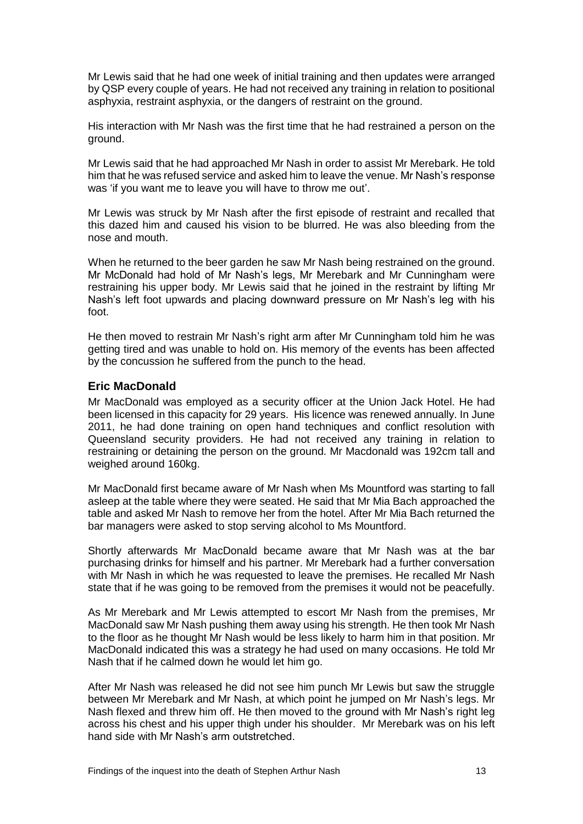Mr Lewis said that he had one week of initial training and then updates were arranged by QSP every couple of years. He had not received any training in relation to positional asphyxia, restraint asphyxia, or the dangers of restraint on the ground.

His interaction with Mr Nash was the first time that he had restrained a person on the ground.

Mr Lewis said that he had approached Mr Nash in order to assist Mr Merebark. He told him that he was refused service and asked him to leave the venue. Mr Nash's response was 'if you want me to leave you will have to throw me out'.

Mr Lewis was struck by Mr Nash after the first episode of restraint and recalled that this dazed him and caused his vision to be blurred. He was also bleeding from the nose and mouth.

When he returned to the beer garden he saw Mr Nash being restrained on the ground. Mr McDonald had hold of Mr Nash's legs, Mr Merebark and Mr Cunningham were restraining his upper body. Mr Lewis said that he joined in the restraint by lifting Mr Nash's left foot upwards and placing downward pressure on Mr Nash's leg with his foot.

He then moved to restrain Mr Nash's right arm after Mr Cunningham told him he was getting tired and was unable to hold on. His memory of the events has been affected by the concussion he suffered from the punch to the head.

### **Eric MacDonald**

Mr MacDonald was employed as a security officer at the Union Jack Hotel. He had been licensed in this capacity for 29 years. His licence was renewed annually. In June 2011, he had done training on open hand techniques and conflict resolution with Queensland security providers. He had not received any training in relation to restraining or detaining the person on the ground. Mr Macdonald was 192cm tall and weighed around 160kg.

Mr MacDonald first became aware of Mr Nash when Ms Mountford was starting to fall asleep at the table where they were seated. He said that Mr Mia Bach approached the table and asked Mr Nash to remove her from the hotel. After Mr Mia Bach returned the bar managers were asked to stop serving alcohol to Ms Mountford.

Shortly afterwards Mr MacDonald became aware that Mr Nash was at the bar purchasing drinks for himself and his partner. Mr Merebark had a further conversation with Mr Nash in which he was requested to leave the premises. He recalled Mr Nash state that if he was going to be removed from the premises it would not be peacefully.

As Mr Merebark and Mr Lewis attempted to escort Mr Nash from the premises, Mr MacDonald saw Mr Nash pushing them away using his strength. He then took Mr Nash to the floor as he thought Mr Nash would be less likely to harm him in that position. Mr MacDonald indicated this was a strategy he had used on many occasions. He told Mr Nash that if he calmed down he would let him go.

After Mr Nash was released he did not see him punch Mr Lewis but saw the struggle between Mr Merebark and Mr Nash, at which point he jumped on Mr Nash's legs. Mr Nash flexed and threw him off. He then moved to the ground with Mr Nash's right leg across his chest and his upper thigh under his shoulder. Mr Merebark was on his left hand side with Mr Nash's arm outstretched.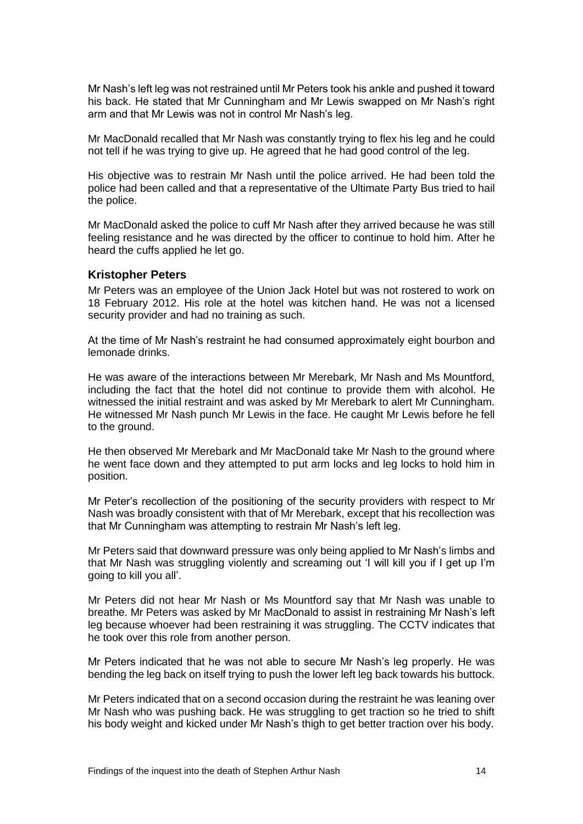Mr Nash's left leg was not restrained until Mr Peters took his ankle and pushed it toward his back. He stated that Mr Cunningham and Mr Lewis swapped on Mr Nash's right arm and that Mr Lewis was not in control Mr Nash's leg.

Mr MacDonald recalled that Mr Nash was constantly trying to flex his leg and he could not tell if he was trying to give up. He agreed that he had good control of the leg.

His objective was to restrain Mr Nash until the police arrived. He had been told the police had been called and that a representative of the Ultimate Party Bus tried to hail the police.

Mr MacDonald asked the police to cuff Mr Nash after they arrived because he was still feeling resistance and he was directed by the officer to continue to hold him. After he heard the cuffs applied he let go.

#### **Kristopher Peters**

Mr Peters was an employee of the Union Jack Hotel but was not rostered to work on 18 February 2012. His role at the hotel was kitchen hand. He was not a licensed security provider and had no training as such.

At the time of Mr Nash's restraint he had consumed approximately eight bourbon and lemonade drinks.

He was aware of the interactions between Mr Merebark, Mr Nash and Ms Mountford, including the fact that the hotel did not continue to provide them with alcohol. He witnessed the initial restraint and was asked by Mr Merebark to alert Mr Cunningham. He witnessed Mr Nash punch Mr Lewis in the face. He caught Mr Lewis before he fell to the ground.

He then observed Mr Merebark and Mr MacDonald take Mr Nash to the ground where he went face down and they attempted to put arm locks and leg locks to hold him in position.

Mr Peter's recollection of the positioning of the security providers with respect to Mr Nash was broadly consistent with that of Mr Merebark, except that his recollection was that Mr Cunningham was attempting to restrain Mr Nash's left leg.

Mr Peters said that downward pressure was only being applied to Mr Nash's limbs and that Mr Nash was struggling violently and screaming out 'I will kill you if I get up I'm going to kill you all'.

Mr Peters did not hear Mr Nash or Ms Mountford say that Mr Nash was unable to breathe. Mr Peters was asked by Mr MacDonald to assist in restraining Mr Nash's left leg because whoever had been restraining it was struggling. The CCTV indicates that he took over this role from another person.

Mr Peters indicated that he was not able to secure Mr Nash's leg properly. He was bending the leg back on itself trying to push the lower left leg back towards his buttock.

Mr Peters indicated that on a second occasion during the restraint he was leaning over Mr Nash who was pushing back. He was struggling to get traction so he tried to shift his body weight and kicked under Mr Nash's thigh to get better traction over his body.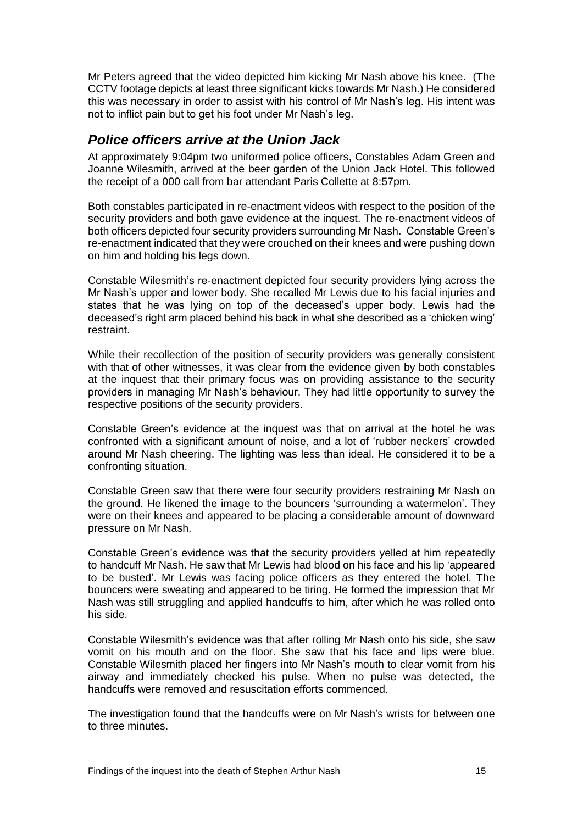Mr Peters agreed that the video depicted him kicking Mr Nash above his knee. (The CCTV footage depicts at least three significant kicks towards Mr Nash.) He considered this was necessary in order to assist with his control of Mr Nash's leg. His intent was not to inflict pain but to get his foot under Mr Nash's leg.

# <span id="page-17-0"></span>*Police officers arrive at the Union Jack*

At approximately 9:04pm two uniformed police officers, Constables Adam Green and Joanne Wilesmith, arrived at the beer garden of the Union Jack Hotel. This followed the receipt of a 000 call from bar attendant Paris Collette at 8:57pm.

Both constables participated in re-enactment videos with respect to the position of the security providers and both gave evidence at the inquest. The re-enactment videos of both officers depicted four security providers surrounding Mr Nash. Constable Green's re-enactment indicated that they were crouched on their knees and were pushing down on him and holding his legs down.

Constable Wilesmith's re-enactment depicted four security providers lying across the Mr Nash's upper and lower body. She recalled Mr Lewis due to his facial injuries and states that he was lying on top of the deceased's upper body. Lewis had the deceased's right arm placed behind his back in what she described as a 'chicken wing' restraint.

While their recollection of the position of security providers was generally consistent with that of other witnesses, it was clear from the evidence given by both constables at the inquest that their primary focus was on providing assistance to the security providers in managing Mr Nash's behaviour. They had little opportunity to survey the respective positions of the security providers.

Constable Green's evidence at the inquest was that on arrival at the hotel he was confronted with a significant amount of noise, and a lot of 'rubber neckers' crowded around Mr Nash cheering. The lighting was less than ideal. He considered it to be a confronting situation.

Constable Green saw that there were four security providers restraining Mr Nash on the ground. He likened the image to the bouncers 'surrounding a watermelon'. They were on their knees and appeared to be placing a considerable amount of downward pressure on Mr Nash.

Constable Green's evidence was that the security providers yelled at him repeatedly to handcuff Mr Nash. He saw that Mr Lewis had blood on his face and his lip 'appeared to be busted'. Mr Lewis was facing police officers as they entered the hotel. The bouncers were sweating and appeared to be tiring. He formed the impression that Mr Nash was still struggling and applied handcuffs to him, after which he was rolled onto his side.

Constable Wilesmith's evidence was that after rolling Mr Nash onto his side, she saw vomit on his mouth and on the floor. She saw that his face and lips were blue. Constable Wilesmith placed her fingers into Mr Nash's mouth to clear vomit from his airway and immediately checked his pulse. When no pulse was detected, the handcuffs were removed and resuscitation efforts commenced.

The investigation found that the handcuffs were on Mr Nash's wrists for between one to three minutes.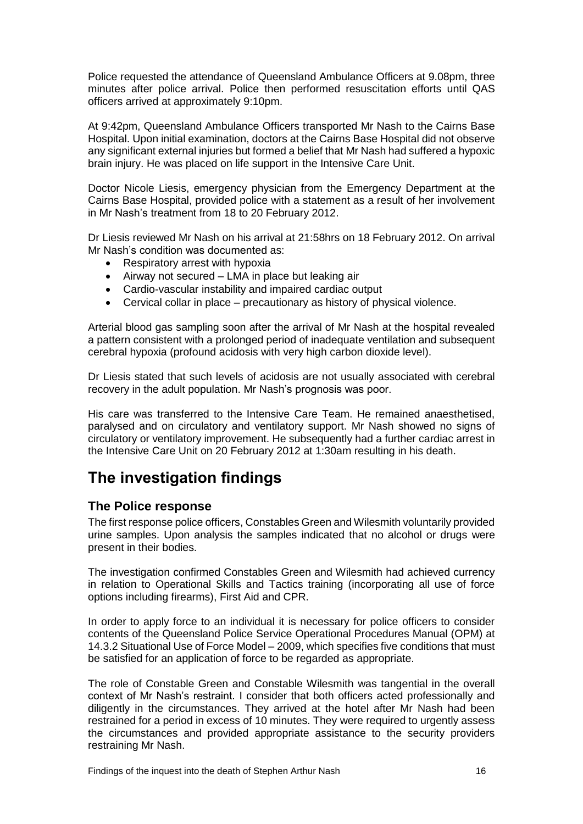Police requested the attendance of Queensland Ambulance Officers at 9.08pm, three minutes after police arrival. Police then performed resuscitation efforts until QAS officers arrived at approximately 9:10pm.

At 9:42pm, Queensland Ambulance Officers transported Mr Nash to the Cairns Base Hospital. Upon initial examination, doctors at the Cairns Base Hospital did not observe any significant external injuries but formed a belief that Mr Nash had suffered a hypoxic brain injury. He was placed on life support in the Intensive Care Unit.

Doctor Nicole Liesis, emergency physician from the Emergency Department at the Cairns Base Hospital, provided police with a statement as a result of her involvement in Mr Nash's treatment from 18 to 20 February 2012.

Dr Liesis reviewed Mr Nash on his arrival at 21:58hrs on 18 February 2012. On arrival Mr Nash's condition was documented as:

- Respiratory arrest with hypoxia
- Airway not secured LMA in place but leaking air
- Cardio-vascular instability and impaired cardiac output
- Cervical collar in place precautionary as history of physical violence.

Arterial blood gas sampling soon after the arrival of Mr Nash at the hospital revealed a pattern consistent with a prolonged period of inadequate ventilation and subsequent cerebral hypoxia (profound acidosis with very high carbon dioxide level).

Dr Liesis stated that such levels of acidosis are not usually associated with cerebral recovery in the adult population. Mr Nash's prognosis was poor.

His care was transferred to the Intensive Care Team. He remained anaesthetised, paralysed and on circulatory and ventilatory support. Mr Nash showed no signs of circulatory or ventilatory improvement. He subsequently had a further cardiac arrest in the Intensive Care Unit on 20 February 2012 at 1:30am resulting in his death.

# <span id="page-18-0"></span>**The investigation findings**

## <span id="page-18-1"></span>**The Police response**

The first response police officers, Constables Green and Wilesmith voluntarily provided urine samples. Upon analysis the samples indicated that no alcohol or drugs were present in their bodies.

The investigation confirmed Constables Green and Wilesmith had achieved currency in relation to Operational Skills and Tactics training (incorporating all use of force options including firearms), First Aid and CPR.

In order to apply force to an individual it is necessary for police officers to consider contents of the Queensland Police Service Operational Procedures Manual (OPM) at 14.3.2 Situational Use of Force Model – 2009, which specifies five conditions that must be satisfied for an application of force to be regarded as appropriate.

The role of Constable Green and Constable Wilesmith was tangential in the overall context of Mr Nash's restraint. I consider that both officers acted professionally and diligently in the circumstances. They arrived at the hotel after Mr Nash had been restrained for a period in excess of 10 minutes. They were required to urgently assess the circumstances and provided appropriate assistance to the security providers restraining Mr Nash.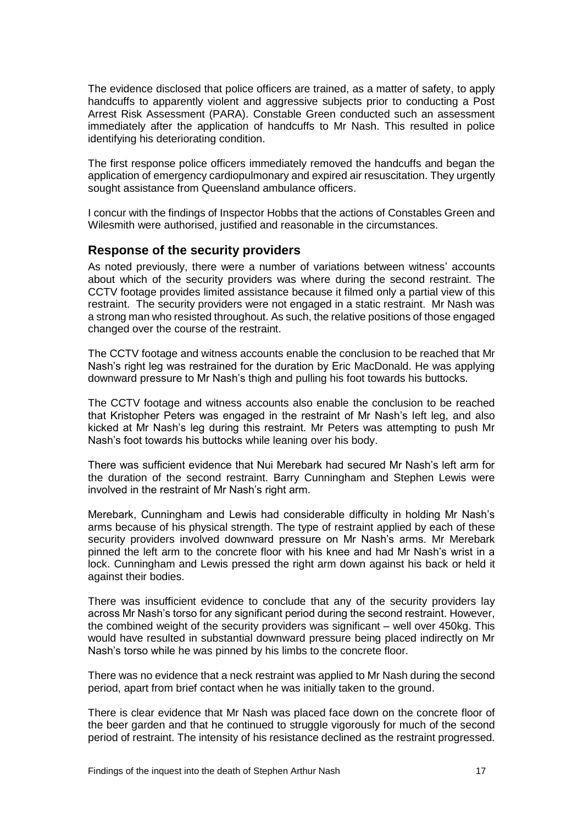The evidence disclosed that police officers are trained, as a matter of safety, to apply handcuffs to apparently violent and aggressive subjects prior to conducting a Post Arrest Risk Assessment (PARA). Constable Green conducted such an assessment immediately after the application of handcuffs to Mr Nash. This resulted in police identifying his deteriorating condition.

The first response police officers immediately removed the handcuffs and began the application of emergency cardiopulmonary and expired air resuscitation. They urgently sought assistance from Queensland ambulance officers.

I concur with the findings of Inspector Hobbs that the actions of Constables Green and Wilesmith were authorised, justified and reasonable in the circumstances.

### <span id="page-19-0"></span>**Response of the security providers**

As noted previously, there were a number of variations between witness' accounts about which of the security providers was where during the second restraint. The CCTV footage provides limited assistance because it filmed only a partial view of this restraint. The security providers were not engaged in a static restraint. Mr Nash was a strong man who resisted throughout. As such, the relative positions of those engaged changed over the course of the restraint.

The CCTV footage and witness accounts enable the conclusion to be reached that Mr Nash's right leg was restrained for the duration by Eric MacDonald. He was applying downward pressure to Mr Nash's thigh and pulling his foot towards his buttocks.

The CCTV footage and witness accounts also enable the conclusion to be reached that Kristopher Peters was engaged in the restraint of Mr Nash's left leg, and also kicked at Mr Nash's leg during this restraint. Mr Peters was attempting to push Mr Nash's foot towards his buttocks while leaning over his body.

There was sufficient evidence that Nui Merebark had secured Mr Nash's left arm for the duration of the second restraint. Barry Cunningham and Stephen Lewis were involved in the restraint of Mr Nash's right arm.

Merebark, Cunningham and Lewis had considerable difficulty in holding Mr Nash's arms because of his physical strength. The type of restraint applied by each of these security providers involved downward pressure on Mr Nash's arms. Mr Merebark pinned the left arm to the concrete floor with his knee and had Mr Nash's wrist in a lock. Cunningham and Lewis pressed the right arm down against his back or held it against their bodies.

There was insufficient evidence to conclude that any of the security providers lay across Mr Nash's torso for any significant period during the second restraint. However, the combined weight of the security providers was significant – well over 450kg. This would have resulted in substantial downward pressure being placed indirectly on Mr Nash's torso while he was pinned by his limbs to the concrete floor.

There was no evidence that a neck restraint was applied to Mr Nash during the second period, apart from brief contact when he was initially taken to the ground.

There is clear evidence that Mr Nash was placed face down on the concrete floor of the beer garden and that he continued to struggle vigorously for much of the second period of restraint. The intensity of his resistance declined as the restraint progressed.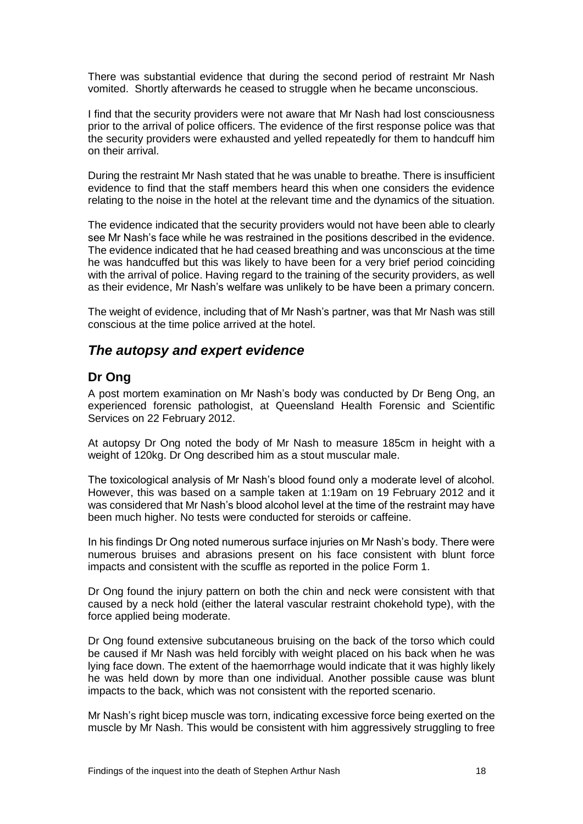There was substantial evidence that during the second period of restraint Mr Nash vomited. Shortly afterwards he ceased to struggle when he became unconscious.

I find that the security providers were not aware that Mr Nash had lost consciousness prior to the arrival of police officers. The evidence of the first response police was that the security providers were exhausted and yelled repeatedly for them to handcuff him on their arrival.

During the restraint Mr Nash stated that he was unable to breathe. There is insufficient evidence to find that the staff members heard this when one considers the evidence relating to the noise in the hotel at the relevant time and the dynamics of the situation.

The evidence indicated that the security providers would not have been able to clearly see Mr Nash's face while he was restrained in the positions described in the evidence. The evidence indicated that he had ceased breathing and was unconscious at the time he was handcuffed but this was likely to have been for a very brief period coinciding with the arrival of police. Having regard to the training of the security providers, as well as their evidence, Mr Nash's welfare was unlikely to be have been a primary concern.

The weight of evidence, including that of Mr Nash's partner, was that Mr Nash was still conscious at the time police arrived at the hotel.

# <span id="page-20-0"></span>*The autopsy and expert evidence*

## **Dr Ong**

A post mortem examination on Mr Nash's body was conducted by Dr Beng Ong, an experienced forensic pathologist, at Queensland Health Forensic and Scientific Services on 22 February 2012.

At autopsy Dr Ong noted the body of Mr Nash to measure 185cm in height with a weight of 120kg. Dr Ong described him as a stout muscular male.

The toxicological analysis of Mr Nash's blood found only a moderate level of alcohol. However, this was based on a sample taken at 1:19am on 19 February 2012 and it was considered that Mr Nash's blood alcohol level at the time of the restraint may have been much higher. No tests were conducted for steroids or caffeine.

In his findings Dr Ong noted numerous surface injuries on Mr Nash's body. There were numerous bruises and abrasions present on his face consistent with blunt force impacts and consistent with the scuffle as reported in the police Form 1.

Dr Ong found the injury pattern on both the chin and neck were consistent with that caused by a neck hold (either the lateral vascular restraint chokehold type), with the force applied being moderate.

Dr Ong found extensive subcutaneous bruising on the back of the torso which could be caused if Mr Nash was held forcibly with weight placed on his back when he was lying face down. The extent of the haemorrhage would indicate that it was highly likely he was held down by more than one individual. Another possible cause was blunt impacts to the back, which was not consistent with the reported scenario.

Mr Nash's right bicep muscle was torn, indicating excessive force being exerted on the muscle by Mr Nash. This would be consistent with him aggressively struggling to free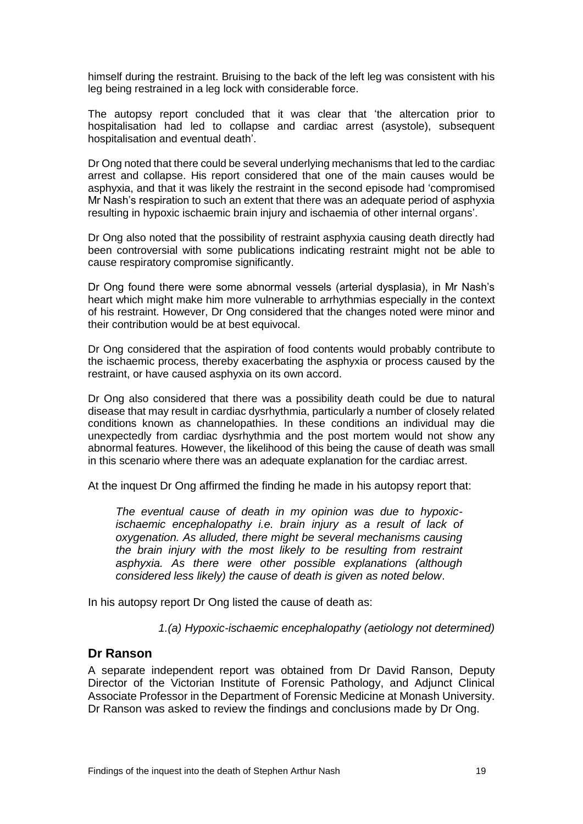himself during the restraint. Bruising to the back of the left leg was consistent with his leg being restrained in a leg lock with considerable force.

The autopsy report concluded that it was clear that 'the altercation prior to hospitalisation had led to collapse and cardiac arrest (asystole), subsequent hospitalisation and eventual death'.

Dr Ong noted that there could be several underlying mechanisms that led to the cardiac arrest and collapse. His report considered that one of the main causes would be asphyxia, and that it was likely the restraint in the second episode had 'compromised Mr Nash's respiration to such an extent that there was an adequate period of asphyxia resulting in hypoxic ischaemic brain injury and ischaemia of other internal organs'.

Dr Ong also noted that the possibility of restraint asphyxia causing death directly had been controversial with some publications indicating restraint might not be able to cause respiratory compromise significantly.

Dr Ong found there were some abnormal vessels (arterial dysplasia), in Mr Nash's heart which might make him more vulnerable to arrhythmias especially in the context of his restraint. However, Dr Ong considered that the changes noted were minor and their contribution would be at best equivocal.

Dr Ong considered that the aspiration of food contents would probably contribute to the ischaemic process, thereby exacerbating the asphyxia or process caused by the restraint, or have caused asphyxia on its own accord.

Dr Ong also considered that there was a possibility death could be due to natural disease that may result in cardiac dysrhythmia, particularly a number of closely related conditions known as channelopathies. In these conditions an individual may die unexpectedly from cardiac dysrhythmia and the post mortem would not show any abnormal features. However, the likelihood of this being the cause of death was small in this scenario where there was an adequate explanation for the cardiac arrest.

At the inquest Dr Ong affirmed the finding he made in his autopsy report that:

*The eventual cause of death in my opinion was due to hypoxicischaemic encephalopathy i.e. brain injury as a result of lack of oxygenation. As alluded, there might be several mechanisms causing the brain injury with the most likely to be resulting from restraint asphyxia. As there were other possible explanations (although considered less likely) the cause of death is given as noted below*.

In his autopsy report Dr Ong listed the cause of death as:

*1.(a) Hypoxic-ischaemic encephalopathy (aetiology not determined)* 

## **Dr Ranson**

A separate independent report was obtained from Dr David Ranson, Deputy Director of the Victorian Institute of Forensic Pathology, and Adjunct Clinical Associate Professor in the Department of Forensic Medicine at Monash University. Dr Ranson was asked to review the findings and conclusions made by Dr Ong.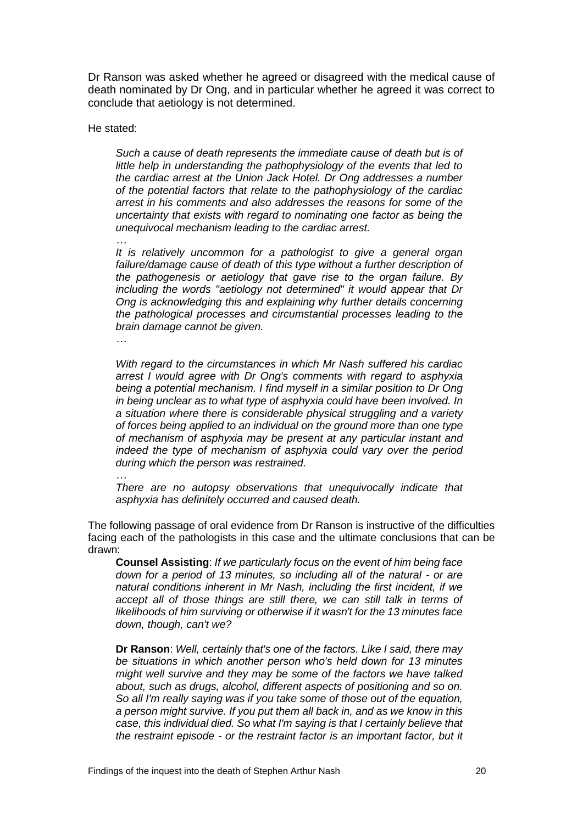Dr Ranson was asked whether he agreed or disagreed with the medical cause of death nominated by Dr Ong, and in particular whether he agreed it was correct to conclude that aetiology is not determined.

He stated:

*Such a cause of death represents the immediate cause of death but is of little help in understanding the pathophysiology of the events that led to the cardiac arrest at the Union Jack Hotel. Dr Ong addresses a number of the potential factors that relate to the pathophysiology of the cardiac arrest in his comments and also addresses the reasons for some of the uncertainty that exists with regard to nominating one factor as being the unequivocal mechanism leading to the cardiac arrest.*

*… It is relatively uncommon for a pathologist to give a general organ failure/damage cause of death of this type without a further description of the pathogenesis or aetiology that gave rise to the organ failure. By including the words "aetiology not determined" it would appear that Dr Ong is acknowledging this and explaining why further details concerning the pathological processes and circumstantial processes leading to the brain damage cannot be given.*

*…*

*With regard to the circumstances in which Mr Nash suffered his cardiac arrest I would agree with Dr Ong's comments with regard to asphyxia being a potential mechanism. I find myself in a similar position to Dr Ong in being unclear as to what type of asphyxia could have been involved. In a situation where there is considerable physical struggling and a variety of forces being applied to an individual on the ground more than one type of mechanism of asphyxia may be present at any particular instant and indeed the type of mechanism of asphyxia could vary over the period during which the person was restrained.*

*… There are no autopsy observations that unequivocally indicate that asphyxia has definitely occurred and caused death.*

The following passage of oral evidence from Dr Ranson is instructive of the difficulties facing each of the pathologists in this case and the ultimate conclusions that can be drawn:

**Counsel Assisting**: *If we particularly focus on the event of him being face down for a period of 13 minutes, so including all of the natural - or are natural conditions inherent in Mr Nash, including the first incident, if we accept all of those things are still there, we can still talk in terms of likelihoods of him surviving or otherwise if it wasn't for the 13 minutes face down, though, can't we?* 

**Dr Ranson**: *Well, certainly that's one of the factors. Like I said, there may be situations in which another person who's held down for 13 minutes might well survive and they may be some of the factors we have talked about, such as drugs, alcohol, different aspects of positioning and so on. So all I'm really saying was if you take some of those out of the equation, a person might survive. If you put them all back in, and as we know in this case, this individual died. So what I'm saying is that I certainly believe that the restraint episode - or the restraint factor is an important factor, but it*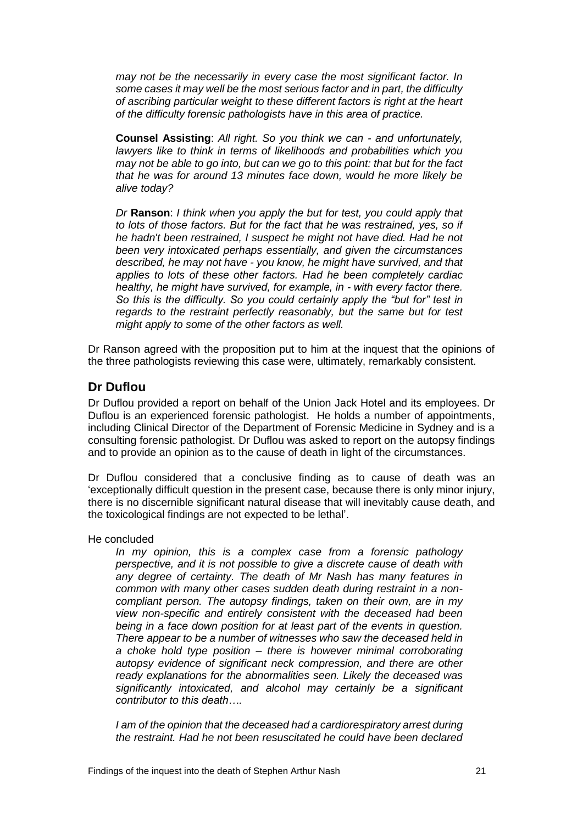*may not be the necessarily in every case the most significant factor. In some cases it may well be the most serious factor and in part, the difficulty of ascribing particular weight to these different factors is right at the heart of the difficulty forensic pathologists have in this area of practice.* 

**Counsel Assisting**: *All right. So you think we can - and unfortunately, lawyers like to think in terms of likelihoods and probabilities which you may not be able to go into, but can we go to this point: that but for the fact that he was for around 13 minutes face down, would he more likely be alive today?* 

*Dr* **Ranson**: *I think when you apply the but for test, you could apply that to lots of those factors. But for the fact that he was restrained, yes, so if he hadn't been restrained, I suspect he might not have died. Had he not been very intoxicated perhaps essentially, and given the circumstances described, he may not have - you know, he might have survived, and that applies to lots of these other factors. Had he been completely cardiac healthy, he might have survived, for example, in - with every factor there. So this is the difficulty. So you could certainly apply the "but for" test in regards to the restraint perfectly reasonably, but the same but for test might apply to some of the other factors as well.* 

Dr Ranson agreed with the proposition put to him at the inquest that the opinions of the three pathologists reviewing this case were, ultimately, remarkably consistent.

# **Dr Duflou**

Dr Duflou provided a report on behalf of the Union Jack Hotel and its employees. Dr Duflou is an experienced forensic pathologist. He holds a number of appointments, including Clinical Director of the Department of Forensic Medicine in Sydney and is a consulting forensic pathologist. Dr Duflou was asked to report on the autopsy findings and to provide an opinion as to the cause of death in light of the circumstances.

Dr Duflou considered that a conclusive finding as to cause of death was an 'exceptionally difficult question in the present case, because there is only minor injury, there is no discernible significant natural disease that will inevitably cause death, and the toxicological findings are not expected to be lethal'.

He concluded

*In my opinion, this is a complex case from a forensic pathology perspective, and it is not possible to give a discrete cause of death with any degree of certainty. The death of Mr Nash has many features in common with many other cases sudden death during restraint in a noncompliant person. The autopsy findings, taken on their own, are in my view non-specific and entirely consistent with the deceased had been being in a face down position for at least part of the events in question. There appear to be a number of witnesses who saw the deceased held in a choke hold type position – there is however minimal corroborating autopsy evidence of significant neck compression, and there are other ready explanations for the abnormalities seen. Likely the deceased was significantly intoxicated, and alcohol may certainly be a significant contributor to this death….*

*I am of the opinion that the deceased had a cardiorespiratory arrest during the restraint. Had he not been resuscitated he could have been declared*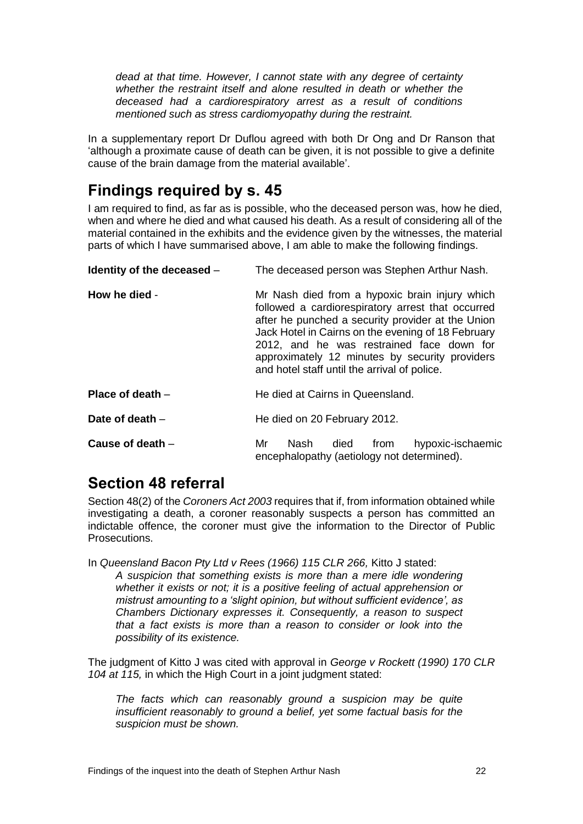*dead at that time. However, I cannot state with any degree of certainty whether the restraint itself and alone resulted in death or whether the deceased had a cardiorespiratory arrest as a result of conditions mentioned such as stress cardiomyopathy during the restraint.*

In a supplementary report Dr Duflou agreed with both Dr Ong and Dr Ranson that 'although a proximate cause of death can be given, it is not possible to give a definite cause of the brain damage from the material available'.

# <span id="page-24-0"></span>**Findings required by s. 45**

I am required to find, as far as is possible, who the deceased person was, how he died, when and where he died and what caused his death. As a result of considering all of the material contained in the exhibits and the evidence given by the witnesses, the material parts of which I have summarised above, I am able to make the following findings.

| Identity of the deceased - | The deceased person was Stephen Arthur Nash.                                                                                                                                                                                                                                                                                                                  |
|----------------------------|---------------------------------------------------------------------------------------------------------------------------------------------------------------------------------------------------------------------------------------------------------------------------------------------------------------------------------------------------------------|
| How he died -              | Mr Nash died from a hypoxic brain injury which<br>followed a cardiorespiratory arrest that occurred<br>after he punched a security provider at the Union<br>Jack Hotel in Cairns on the evening of 18 February<br>2012, and he was restrained face down for<br>approximately 12 minutes by security providers<br>and hotel staff until the arrival of police. |
| Place of death $-$         | He died at Cairns in Queensland.                                                                                                                                                                                                                                                                                                                              |
| Date of death $-$          | He died on 20 February 2012.                                                                                                                                                                                                                                                                                                                                  |
| Cause of death -           | hypoxic-ischaemic<br>Nash<br>Mr<br>died<br>from<br>encephalopathy (aetiology not determined).                                                                                                                                                                                                                                                                 |

# <span id="page-24-1"></span>**Section 48 referral**

Section 48(2) of the *Coroners Act 2003* requires that if, from information obtained while investigating a death, a coroner reasonably suspects a person has committed an indictable offence, the coroner must give the information to the Director of Public Prosecutions.

In *Queensland Bacon Pty Ltd v Rees (1966) 115 CLR 266,* Kitto J stated: *A suspicion that something exists is more than a mere idle wondering whether it exists or not; it is a positive feeling of actual apprehension or mistrust amounting to a 'slight opinion, but without sufficient evidence', as Chambers Dictionary expresses it. Consequently, a reason to suspect that a fact exists is more than a reason to consider or look into the possibility of its existence.*

The judgment of Kitto J was cited with approval in *George v Rockett (1990) 170 CLR 104 at 115,* in which the High Court in a joint judgment stated:

*The facts which can reasonably ground a suspicion may be quite insufficient reasonably to ground a belief, yet some factual basis for the suspicion must be shown.*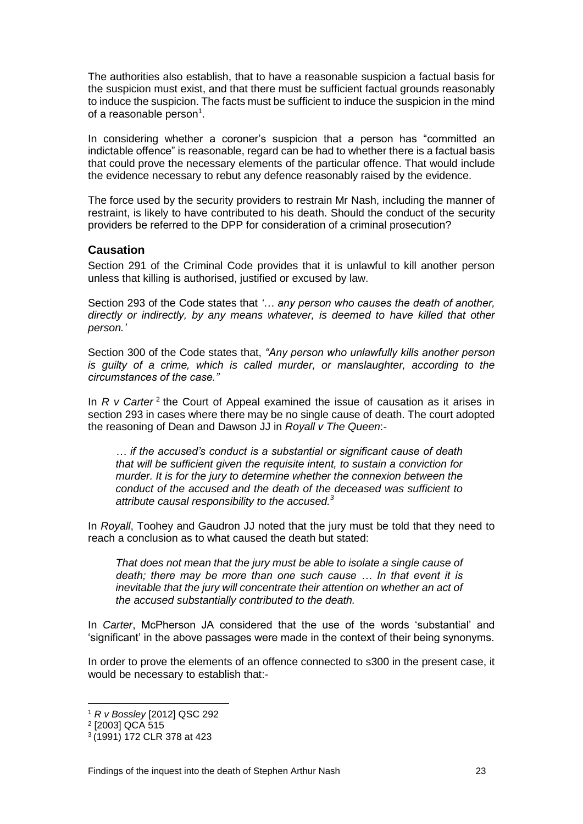The authorities also establish, that to have a reasonable suspicion a factual basis for the suspicion must exist, and that there must be sufficient factual grounds reasonably to induce the suspicion. The facts must be sufficient to induce the suspicion in the mind of a reasonable person<sup>1</sup>.

In considering whether a coroner's suspicion that a person has "committed an indictable offence" is reasonable, regard can be had to whether there is a factual basis that could prove the necessary elements of the particular offence. That would include the evidence necessary to rebut any defence reasonably raised by the evidence.

The force used by the security providers to restrain Mr Nash, including the manner of restraint, is likely to have contributed to his death. Should the conduct of the security providers be referred to the DPP for consideration of a criminal prosecution?

### **Causation**

Section 291 of the Criminal Code provides that it is unlawful to kill another person unless that killing is authorised, justified or excused by law.

Section 293 of the Code states that *'… any person who causes the death of another, directly or indirectly, by any means whatever, is deemed to have killed that other person.'*

Section 300 of the Code states that, *"Any person who unlawfully kills another person is guilty of a crime, which is called murder, or manslaughter, according to the circumstances of the case."*

In *R v Carter<sup>2</sup>* the Court of Appeal examined the issue of causation as it arises in section 293 in cases where there may be no single cause of death. The court adopted the reasoning of Dean and Dawson JJ in *Royall v The Queen*:-

*… if the accused's conduct is a substantial or significant cause of death that will be sufficient given the requisite intent, to sustain a conviction for murder. It is for the jury to determine whether the connexion between the conduct of the accused and the death of the deceased was sufficient to attribute causal responsibility to the accused.<sup>3</sup>*

In *Royall*, Toohey and Gaudron JJ noted that the jury must be told that they need to reach a conclusion as to what caused the death but stated:

*That does not mean that the jury must be able to isolate a single cause of death; there may be more than one such cause … In that event it is inevitable that the jury will concentrate their attention on whether an act of the accused substantially contributed to the death.*

In *Carter*, McPherson JA considered that the use of the words 'substantial' and 'significant' in the above passages were made in the context of their being synonyms.

In order to prove the elements of an offence connected to s300 in the present case, it would be necessary to establish that:-

l

<sup>1</sup> *R v Bossley* [2012] QSC 292

<sup>2</sup> [2003] QCA 515

<sup>3</sup> (1991) 172 CLR 378 at 423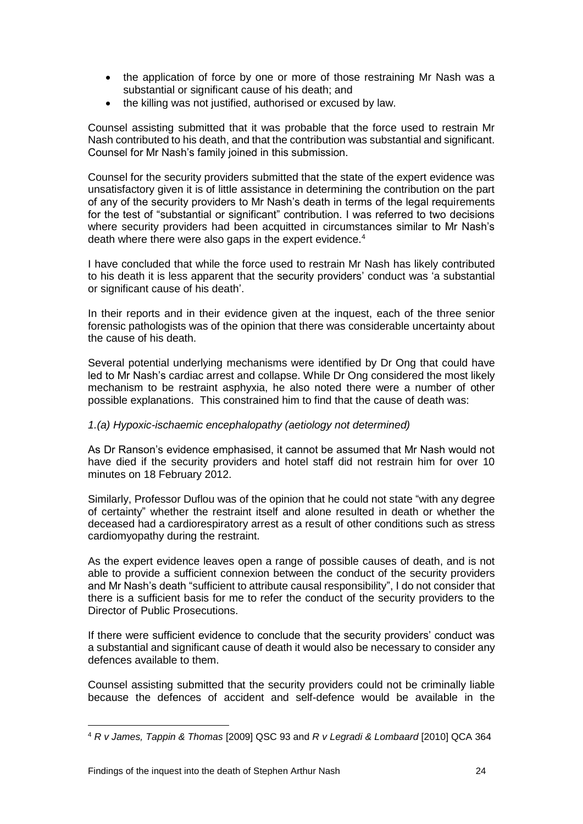- the application of force by one or more of those restraining Mr Nash was a substantial or significant cause of his death; and
- the killing was not justified, authorised or excused by law.

Counsel assisting submitted that it was probable that the force used to restrain Mr Nash contributed to his death, and that the contribution was substantial and significant. Counsel for Mr Nash's family joined in this submission.

Counsel for the security providers submitted that the state of the expert evidence was unsatisfactory given it is of little assistance in determining the contribution on the part of any of the security providers to Mr Nash's death in terms of the legal requirements for the test of "substantial or significant" contribution. I was referred to two decisions where security providers had been acquitted in circumstances similar to Mr Nash's death where there were also gaps in the expert evidence.<sup>4</sup>

I have concluded that while the force used to restrain Mr Nash has likely contributed to his death it is less apparent that the security providers' conduct was 'a substantial or significant cause of his death'.

In their reports and in their evidence given at the inquest, each of the three senior forensic pathologists was of the opinion that there was considerable uncertainty about the cause of his death.

Several potential underlying mechanisms were identified by Dr Ong that could have led to Mr Nash's cardiac arrest and collapse. While Dr Ong considered the most likely mechanism to be restraint asphyxia, he also noted there were a number of other possible explanations. This constrained him to find that the cause of death was:

### *1.(a) Hypoxic-ischaemic encephalopathy (aetiology not determined)*

As Dr Ranson's evidence emphasised, it cannot be assumed that Mr Nash would not have died if the security providers and hotel staff did not restrain him for over 10 minutes on 18 February 2012.

Similarly, Professor Duflou was of the opinion that he could not state "with any degree of certainty" whether the restraint itself and alone resulted in death or whether the deceased had a cardiorespiratory arrest as a result of other conditions such as stress cardiomyopathy during the restraint.

As the expert evidence leaves open a range of possible causes of death, and is not able to provide a sufficient connexion between the conduct of the security providers and Mr Nash's death "sufficient to attribute causal responsibility", I do not consider that there is a sufficient basis for me to refer the conduct of the security providers to the Director of Public Prosecutions.

If there were sufficient evidence to conclude that the security providers' conduct was a substantial and significant cause of death it would also be necessary to consider any defences available to them.

Counsel assisting submitted that the security providers could not be criminally liable because the defences of accident and self-defence would be available in the

l

<sup>4</sup> *R v James, Tappin & Thomas* [2009] QSC 93 and *R v Legradi & Lombaard* [2010] QCA 364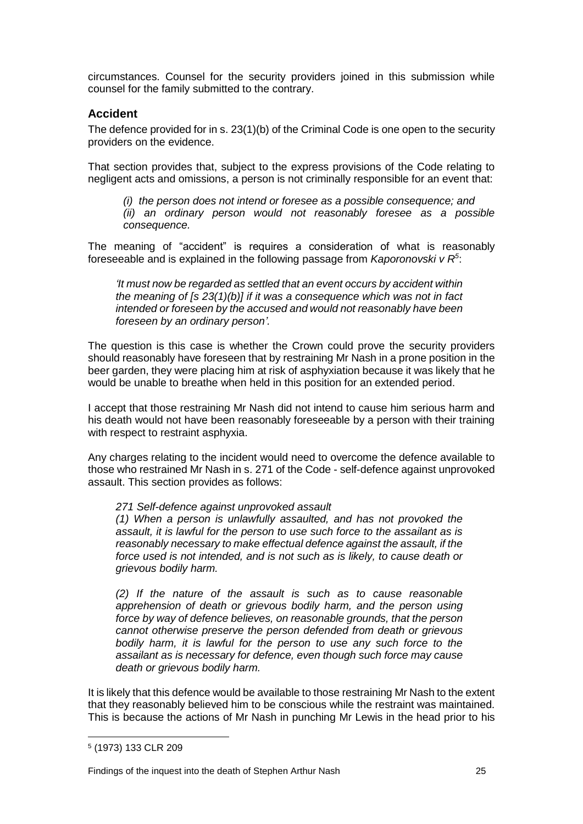circumstances. Counsel for the security providers joined in this submission while counsel for the family submitted to the contrary.

### **Accident**

The defence provided for in s. 23(1)(b) of the Criminal Code is one open to the security providers on the evidence.

That section provides that, subject to the express provisions of the Code relating to negligent acts and omissions, a person is not criminally responsible for an event that:

*(i) the person does not intend or foresee as a possible consequence; and (ii) an ordinary person would not reasonably foresee as a possible consequence.*

The meaning of "accident" is requires a consideration of what is reasonably foreseeable and is explained in the following passage from *Kaporonovski v R<sup>5</sup>* :

*'It must now be regarded as settled that an event occurs by accident within the meaning of [s 23(1)(b)] if it was a consequence which was not in fact intended or foreseen by the accused and would not reasonably have been foreseen by an ordinary person'.*

The question is this case is whether the Crown could prove the security providers should reasonably have foreseen that by restraining Mr Nash in a prone position in the beer garden, they were placing him at risk of asphyxiation because it was likely that he would be unable to breathe when held in this position for an extended period.

I accept that those restraining Mr Nash did not intend to cause him serious harm and his death would not have been reasonably foreseeable by a person with their training with respect to restraint asphyxia.

Any charges relating to the incident would need to overcome the defence available to those who restrained Mr Nash in s. 271 of the Code - self-defence against unprovoked assault. This section provides as follows:

#### *271 Self-defence against unprovoked assault*

*(1) When a person is unlawfully assaulted, and has not provoked the assault, it is lawful for the person to use such force to the assailant as is reasonably necessary to make effectual defence against the assault, if the force used is not intended, and is not such as is likely, to cause death or grievous bodily harm.* 

*(2) If the nature of the assault is such as to cause reasonable apprehension of death or grievous bodily harm, and the person using force by way of defence believes, on reasonable grounds, that the person cannot otherwise preserve the person defended from death or grievous bodily harm, it is lawful for the person to use any such force to the assailant as is necessary for defence, even though such force may cause death or grievous bodily harm.*

It is likely that this defence would be available to those restraining Mr Nash to the extent that they reasonably believed him to be conscious while the restraint was maintained. This is because the actions of Mr Nash in punching Mr Lewis in the head prior to his

l

<sup>5</sup> (1973) 133 CLR 209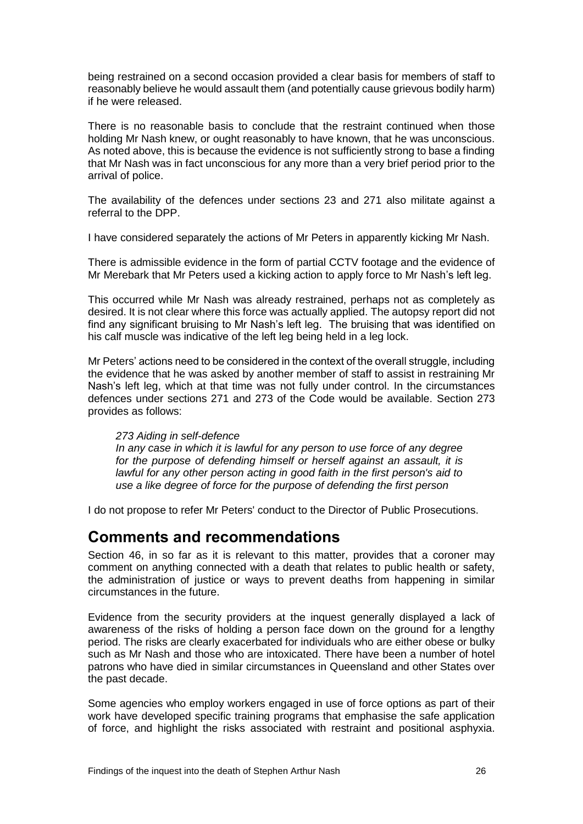being restrained on a second occasion provided a clear basis for members of staff to reasonably believe he would assault them (and potentially cause grievous bodily harm) if he were released.

There is no reasonable basis to conclude that the restraint continued when those holding Mr Nash knew, or ought reasonably to have known, that he was unconscious. As noted above, this is because the evidence is not sufficiently strong to base a finding that Mr Nash was in fact unconscious for any more than a very brief period prior to the arrival of police.

The availability of the defences under sections 23 and 271 also militate against a referral to the DPP.

I have considered separately the actions of Mr Peters in apparently kicking Mr Nash.

There is admissible evidence in the form of partial CCTV footage and the evidence of Mr Merebark that Mr Peters used a kicking action to apply force to Mr Nash's left leg.

This occurred while Mr Nash was already restrained, perhaps not as completely as desired. It is not clear where this force was actually applied. The autopsy report did not find any significant bruising to Mr Nash's left leg. The bruising that was identified on his calf muscle was indicative of the left leg being held in a leg lock.

Mr Peters' actions need to be considered in the context of the overall struggle, including the evidence that he was asked by another member of staff to assist in restraining Mr Nash's left leg, which at that time was not fully under control. In the circumstances defences under sections 271 and 273 of the Code would be available. Section 273 provides as follows:

#### *273 Aiding in self-defence*

*In any case in which it is lawful for any person to use force of any degree for the purpose of defending himself or herself against an assault, it is lawful for any other person acting in good faith in the first person's aid to use a like degree of force for the purpose of defending the first person*

<span id="page-28-0"></span>I do not propose to refer Mr Peters' conduct to the Director of Public Prosecutions.

# **Comments and recommendations**

Section 46, in so far as it is relevant to this matter, provides that a coroner may comment on anything connected with a death that relates to public health or safety, the administration of justice or ways to prevent deaths from happening in similar circumstances in the future.

Evidence from the security providers at the inquest generally displayed a lack of awareness of the risks of holding a person face down on the ground for a lengthy period. The risks are clearly exacerbated for individuals who are either obese or bulky such as Mr Nash and those who are intoxicated. There have been a number of hotel patrons who have died in similar circumstances in Queensland and other States over the past decade.

Some agencies who employ workers engaged in use of force options as part of their work have developed specific training programs that emphasise the safe application of force, and highlight the risks associated with restraint and positional asphyxia.